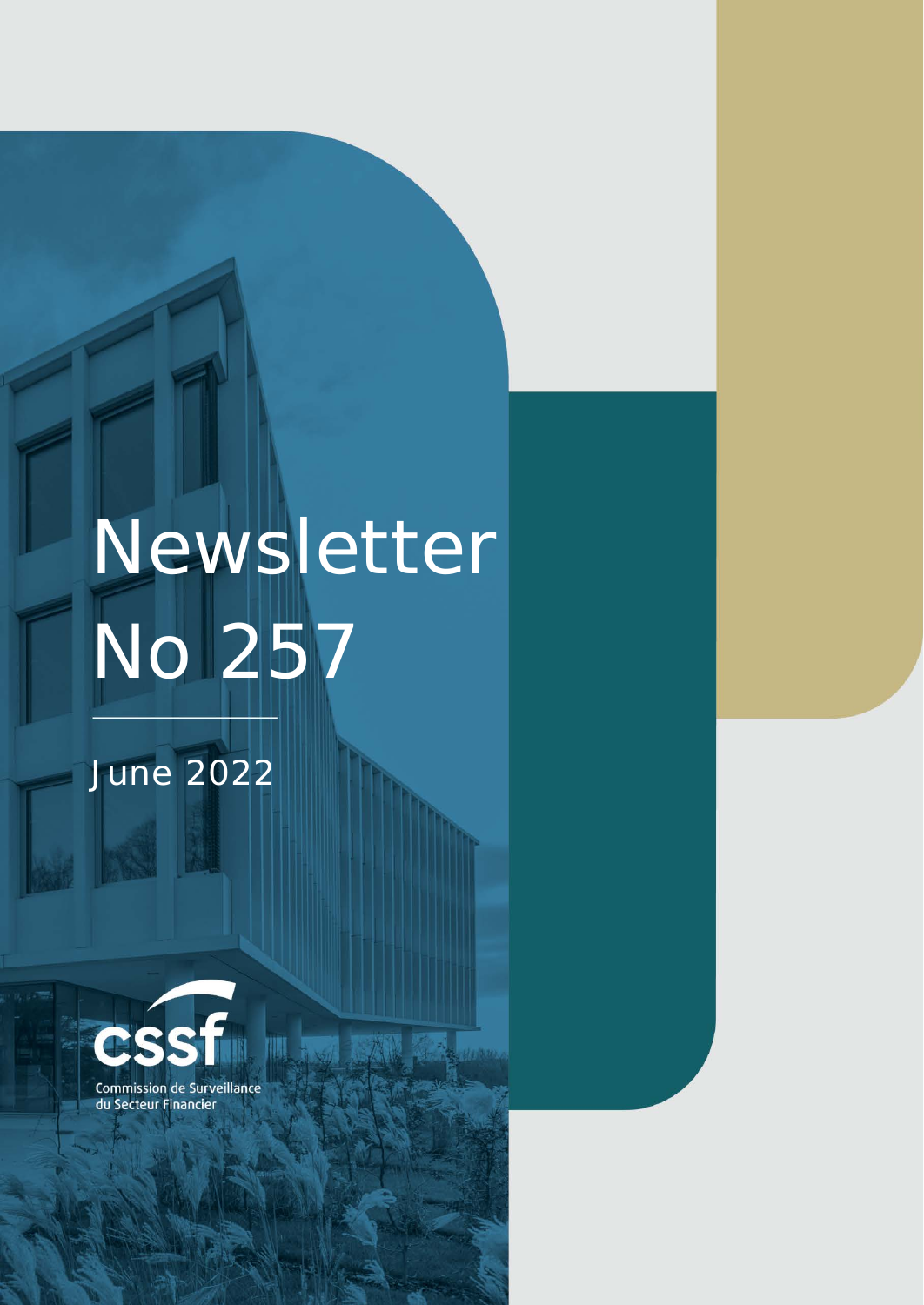# Newsletter No 257

矋

Commission de Surveillance du NEWSLETTER NO 252 JANUARY **2022** Section Financier Financier page 1988 – 1988 – 1988 – 1988 – 1988 – 1988 – 1988 – 1988 – 1988 – 1988 – 1988 – 1

## June 2022

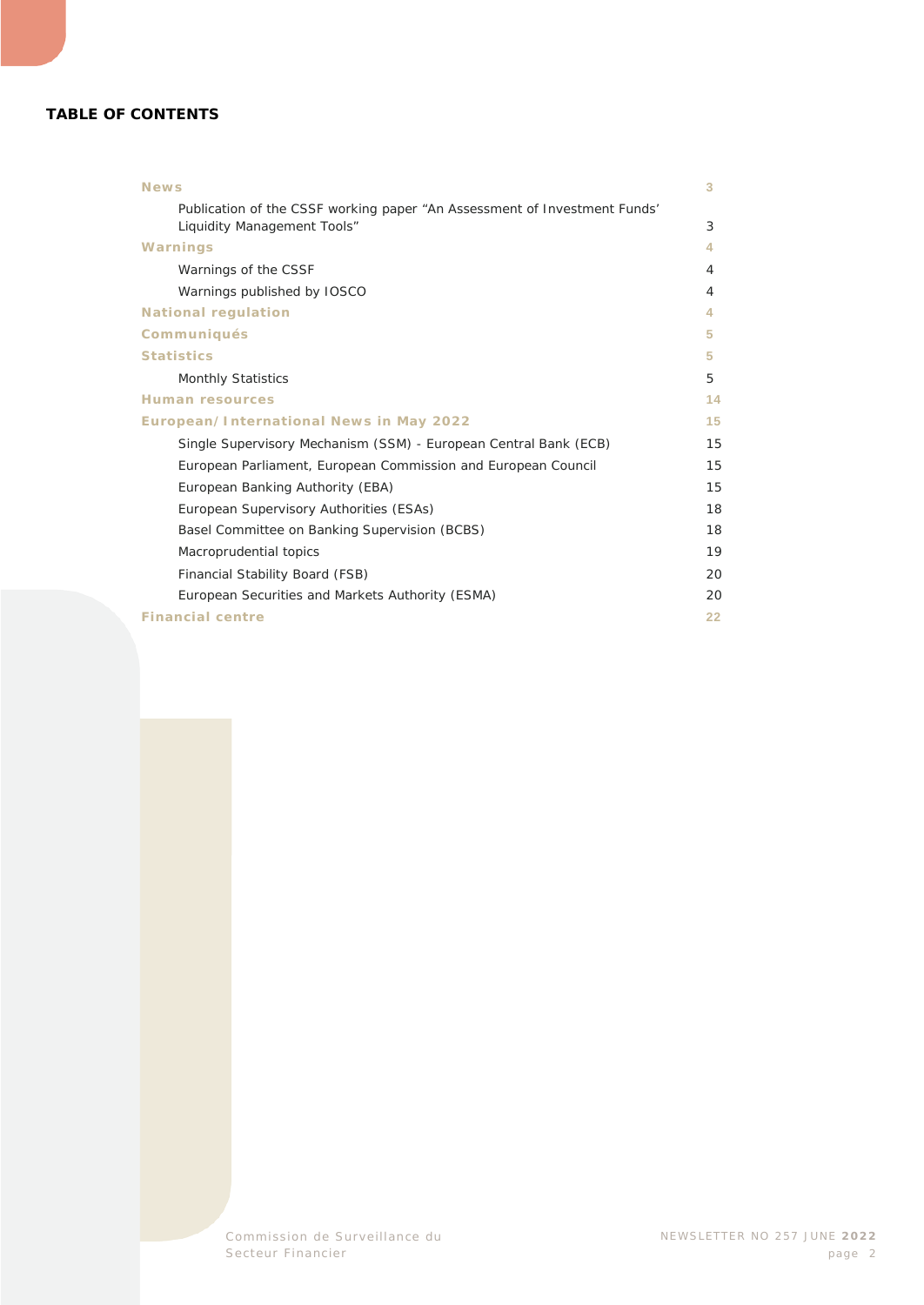#### **TABLE OF CONTENTS**

| <b>News</b>                                                                                              | 3  |
|----------------------------------------------------------------------------------------------------------|----|
| Publication of the CSSF working paper "An Assessment of Investment Funds"<br>Liquidity Management Tools" | 3  |
| Warnings                                                                                                 | 4  |
| Warnings of the CSSF                                                                                     | 4  |
| Warnings published by IOSCO                                                                              | 4  |
| <b>National regulation</b>                                                                               | 4. |
| <b>Communiqués</b>                                                                                       | 5  |
| <b>Statistics</b>                                                                                        | 5. |
| <b>Monthly Statistics</b>                                                                                | 5  |
| <b>Human resources</b>                                                                                   | 14 |
| <b>European/International News in May 2022</b>                                                           | 15 |
| Single Supervisory Mechanism (SSM) - European Central Bank (ECB)                                         | 15 |
| European Parliament, European Commission and European Council                                            | 15 |
| European Banking Authority (EBA)                                                                         | 15 |
| European Supervisory Authorities (ESAs)                                                                  | 18 |
| Basel Committee on Banking Supervision (BCBS)                                                            | 18 |
| Macroprudential topics                                                                                   | 19 |
| Financial Stability Board (FSB)                                                                          | 20 |
| European Securities and Markets Authority (ESMA)                                                         | 20 |
| <b>Financial centre</b>                                                                                  | 22 |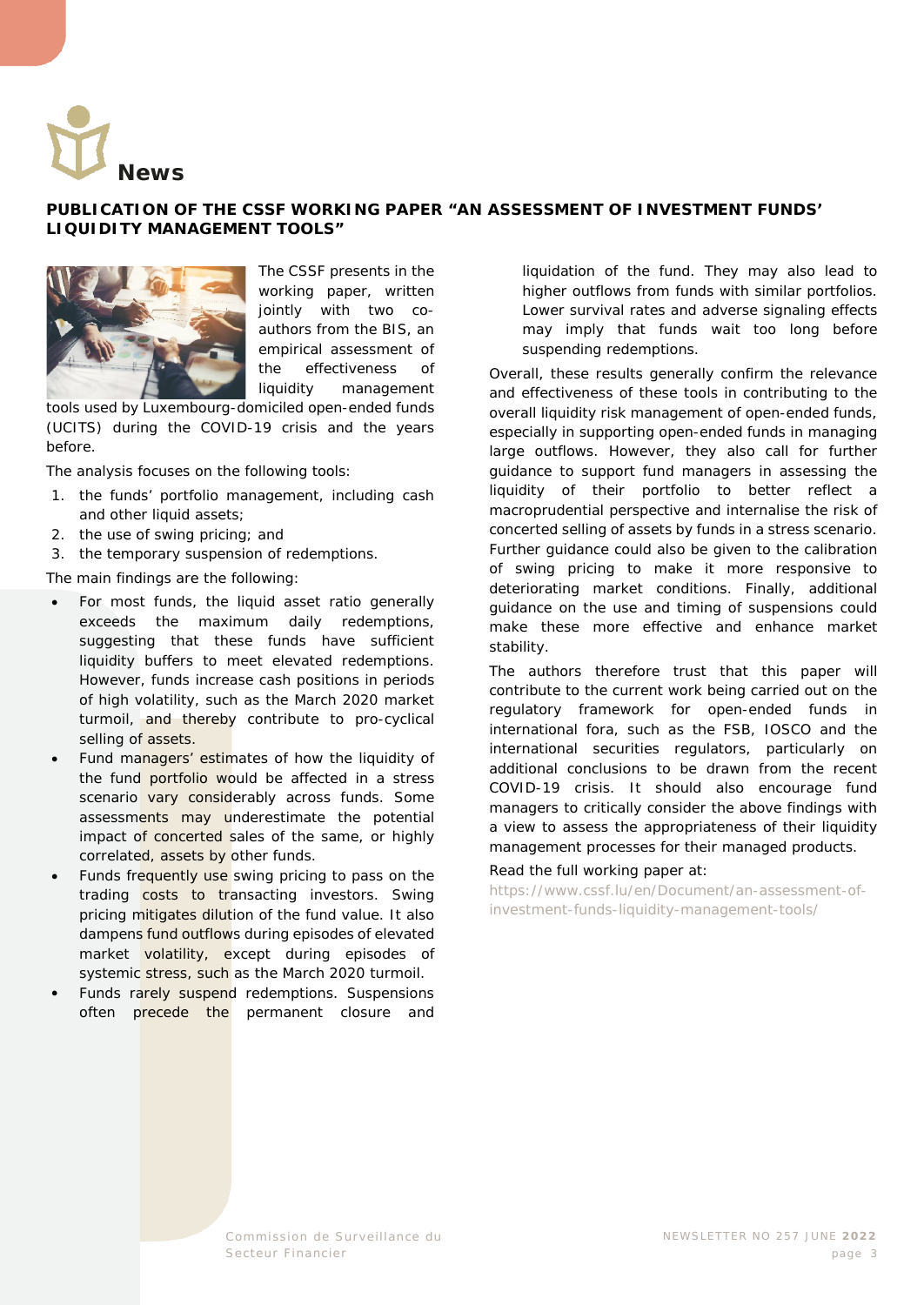<span id="page-2-0"></span>

#### <span id="page-2-1"></span>**PUBLICATION OF THE CSSF WORKING PAPER "AN ASSESSMENT OF INVESTMENT FUNDS' LIQUIDITY MANAGEMENT TOOLS"**



The CSSF presents in the working paper, written jointly with two coauthors from the BIS, an empirical assessment of the effectiveness of liquidity management

tools used by Luxembourg-domiciled open-ended funds (UCITS) during the COVID-19 crisis and the years before.

The analysis focuses on the following tools:

- 1. the funds' portfolio management, including cash and other liquid assets;
- 2. the use of swing pricing; and
- 3. the temporary suspension of redemptions.

The main findings are the following:

- For most funds, the liquid asset ratio generally exceeds the maximum daily redemptions, suggesting that these funds have sufficient liquidity buffers to meet elevated redemptions. However, funds increase cash positions in periods of high volatility, such as the March 2020 market turmoil, and thereby contribute to pro-cyclical selling of assets.
- Fund managers' estimates of how the liquidity of the fund portfolio would be affected in a stress scenario vary considerably across funds. Some assessments may underestimate the potential impact of concerted sales of the same, or highly correlated, assets by other funds.
- Funds frequently use swing pricing to pass on the trading costs to transacting investors. Swing pricing mitigates dilution of the fund value. It also dampens fund outflows during episodes of elevated market volatility, except during episodes of systemic stress, such as the March 2020 turmoil.
- Funds rarely suspend redemptions. Suspensions often precede the permanent closure and

liquidation of the fund. They may also lead to higher outflows from funds with similar portfolios. Lower survival rates and adverse signaling effects may imply that funds wait too long before suspending redemptions.

Overall, these results generally confirm the relevance and effectiveness of these tools in contributing to the overall liquidity risk management of open-ended funds, especially in supporting open-ended funds in managing large outflows. However, they also call for further guidance to support fund managers in assessing the liquidity of their portfolio to better reflect a macroprudential perspective and internalise the risk of concerted selling of assets by funds in a stress scenario. Further guidance could also be given to the calibration of swing pricing to make it more responsive to deteriorating market conditions. Finally, additional guidance on the use and timing of suspensions could make these more effective and enhance market stability.

The authors therefore trust that this paper will contribute to the current work being carried out on the regulatory framework for open-ended funds in international fora, such as the FSB, IOSCO and the international securities regulators, particularly on additional conclusions to be drawn from the recent COVID-19 crisis. It should also encourage fund managers to critically consider the above findings with a view to assess the appropriateness of their liquidity management processes for their managed products.

#### Read the full working paper at:

[https://www.cssf.lu/en/Document/an-assessment-of](https://www.cssf.lu/en/Document/an-assessment-of-investment-funds-liquidity-management-tools/)[investment-funds-liquidity-management-tools/](https://www.cssf.lu/en/Document/an-assessment-of-investment-funds-liquidity-management-tools/)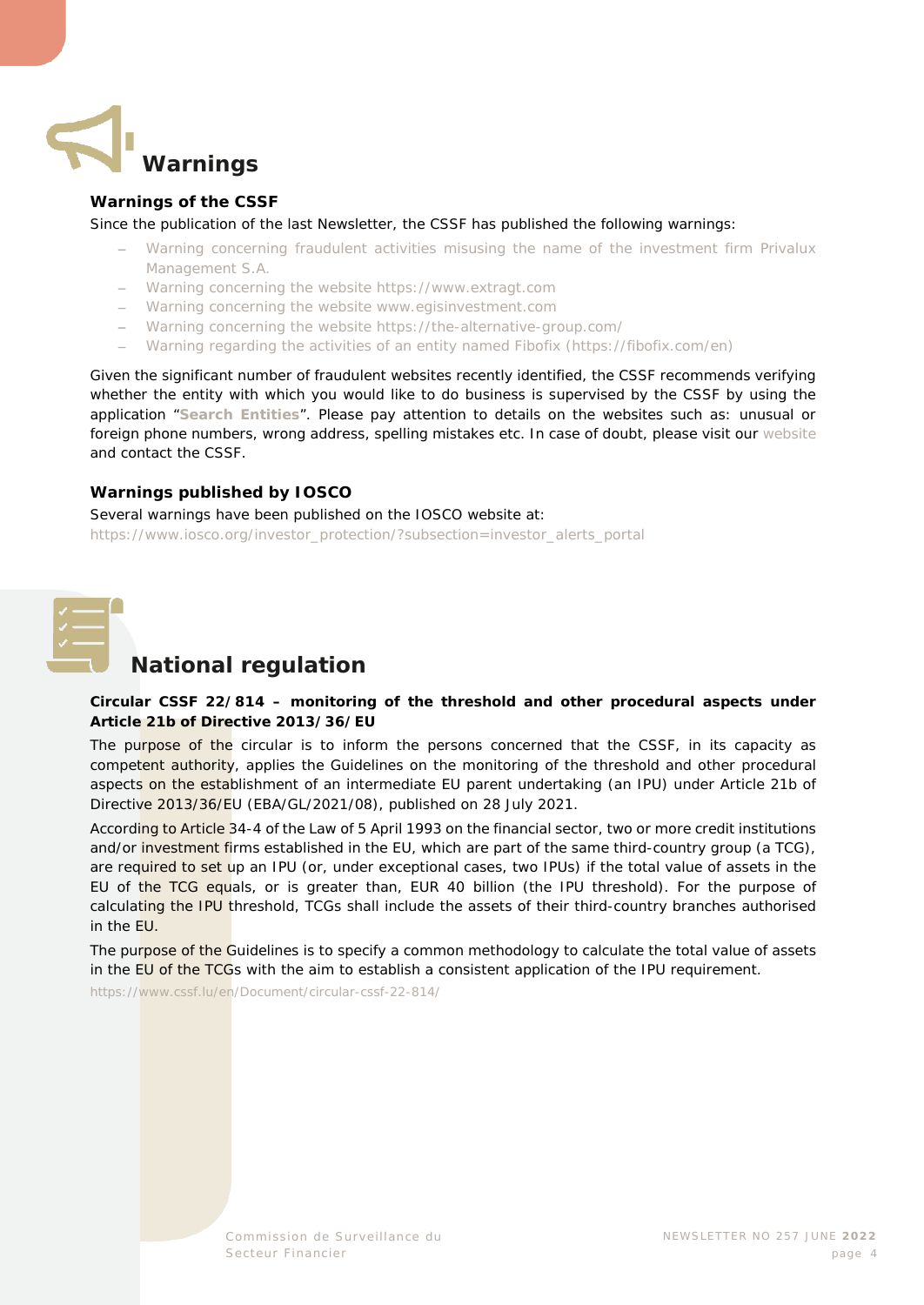<span id="page-3-0"></span>

#### <span id="page-3-1"></span>**Warnings of the CSSF**

Since the publication of the last Newsletter, the CSSF has published the following warnings:

- − [Warning concerning fraudulent activities misusing the name of the investment firm Privalux](https://www.cssf.lu/en/2022/05/warning-concerning-fraudulent-activities-misusing-the-name-of-the-investment-firm-privalux-management-s-a/)  [Management S.A.](https://www.cssf.lu/en/2022/05/warning-concerning-fraudulent-activities-misusing-the-name-of-the-investment-firm-privalux-management-s-a/)
- − [Warning concerning the website https://www.extragt.com](https://www.cssf.lu/en/2022/06/warning-concerning-the-website-https-www-extragt-com/)
- − [Warning concerning the website www.egisinvestment.com](https://www.cssf.lu/en/2022/06/warning-concerning-the-website-www-egisinvestment-com/)
- − [Warning concerning the website https://the-alternative-group.com/](https://www.cssf.lu/en/2022/06/warning-concerning-the-website-https-the-alternative-group-com/)
- − [Warning regarding the activities of an entity named Fibofix \(https://fibofix.com/en\)](https://www.cssf.lu/en/2022/06/warning-regarding-the-activities-of-an-entity-named-fibofix-https-fibofix-com-en/)

Given the significant number of fraudulent websites recently identified, the CSSF recommends verifying whether the entity with which you would like to do business is supervised by the CSSF by using the application "**[Search Entities](https://searchentities.apps.cssf.lu/search-entities/search?lng=en)**". Please pay attention to details on the websites such as: unusual or foreign phone numbers, wrong address, spelling mistakes etc. In case of doubt, please visit our [website](https://www.cssf.lu/en/financial-fraud/) and contact the CSSF.

#### <span id="page-3-2"></span>**Warnings published by IOSCO**

Several warnings have been published on the IOSCO website at: [https://www.iosco.org/investor\\_protection/?subsection=investor\\_alerts\\_portal](https://www.iosco.org/investor_protection/?subsection=investor_alerts_portal)

<span id="page-3-3"></span>

#### **National regulation**

#### **Circular CSSF 22/814 – monitoring of the threshold and other procedural aspects under Article 21b of Directive 2013/36/EU**

The purpose of the circular is to inform the persons concerned that the CSSF, in its capacity as competent authority, applies the Guidelines on the monitoring of the threshold and other procedural aspects on the establishment of an intermediate EU parent undertaking (an IPU) under Article 21b of Directive 2013/36/EU (EBA/GL/2021/08), published on 28 July 2021.

According to Article 34-4 of the Law of 5 April 1993 on the financial sector, two or more credit institutions and/or investment firms established in the EU, which are part of the same third-country group (a TCG), are required to set up an IPU (or, under exceptional cases, two IPUs) if the total value of assets in the EU of the TCG equals, or is greater than, EUR 40 billion (the IPU threshold). For the purpose of calculating the IPU threshold, TCGs shall include the assets of their third-country branches authorised in the EU.

The purpose of the Guidelines is to specify a common methodology to calculate the total value of assets in the EU of the TCGs with the aim to establish a consistent application of the IPU requirement.

<https://www.cssf.lu/en/Document/circular-cssf-22-814/>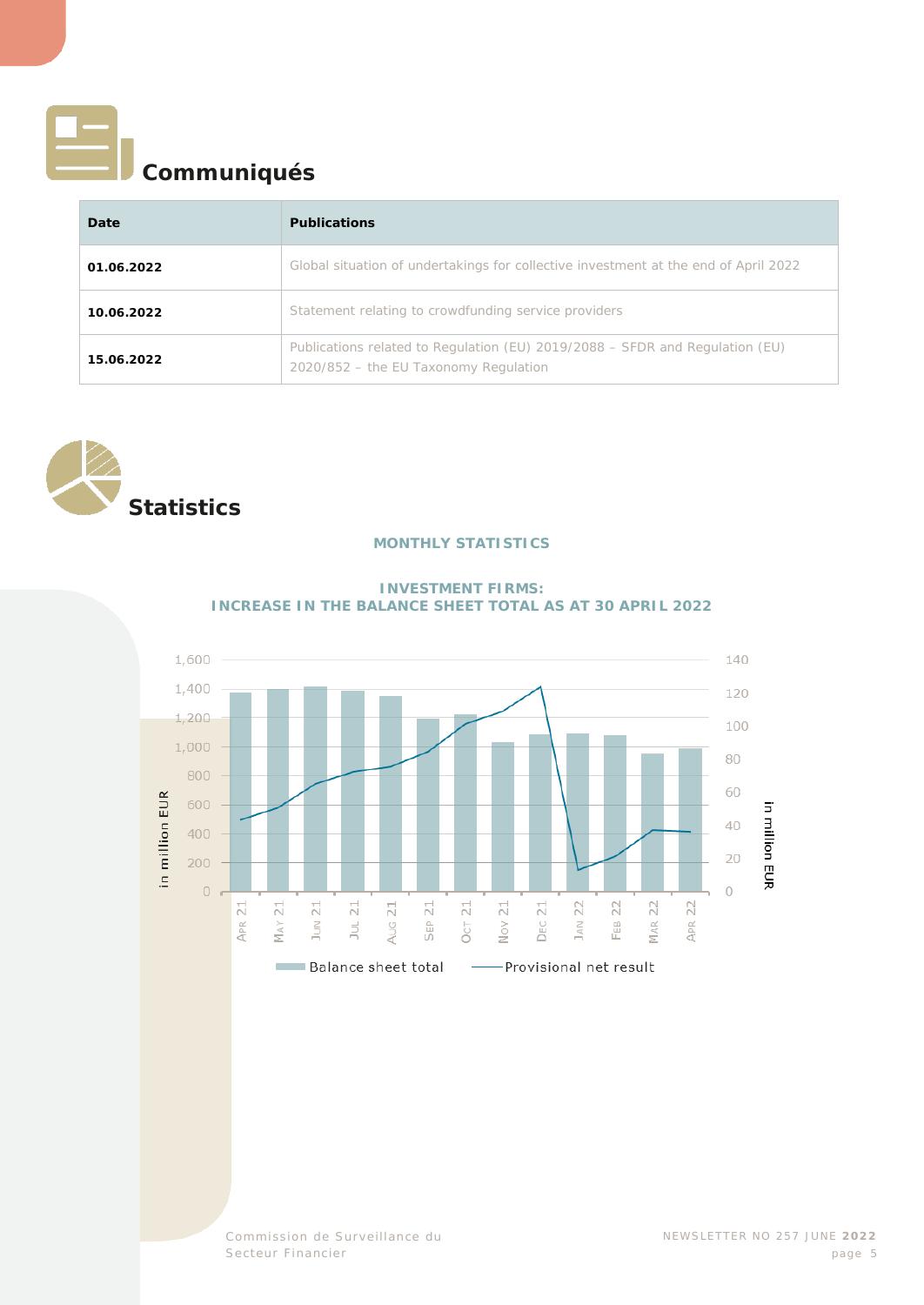<span id="page-4-0"></span>

## **Communiqués**

| Date       | <b>Publications</b>                                                                                                   |
|------------|-----------------------------------------------------------------------------------------------------------------------|
| 01.06.2022 | Global situation of undertakings for collective investment at the end of April 2022                                   |
| 10.06.2022 | Statement relating to crowdfunding service providers                                                                  |
| 15.06.2022 | Publications related to Regulation (EU) 2019/2088 – SFDR and Regulation (EU)<br>2020/852 - the EU Taxonomy Regulation |

<span id="page-4-2"></span><span id="page-4-1"></span>

#### **MONTHLY STATISTICS**



#### **INVESTMENT FIRMS: INCREASE IN THE BALANCE SHEET TOTAL AS AT 30 APRIL 2022**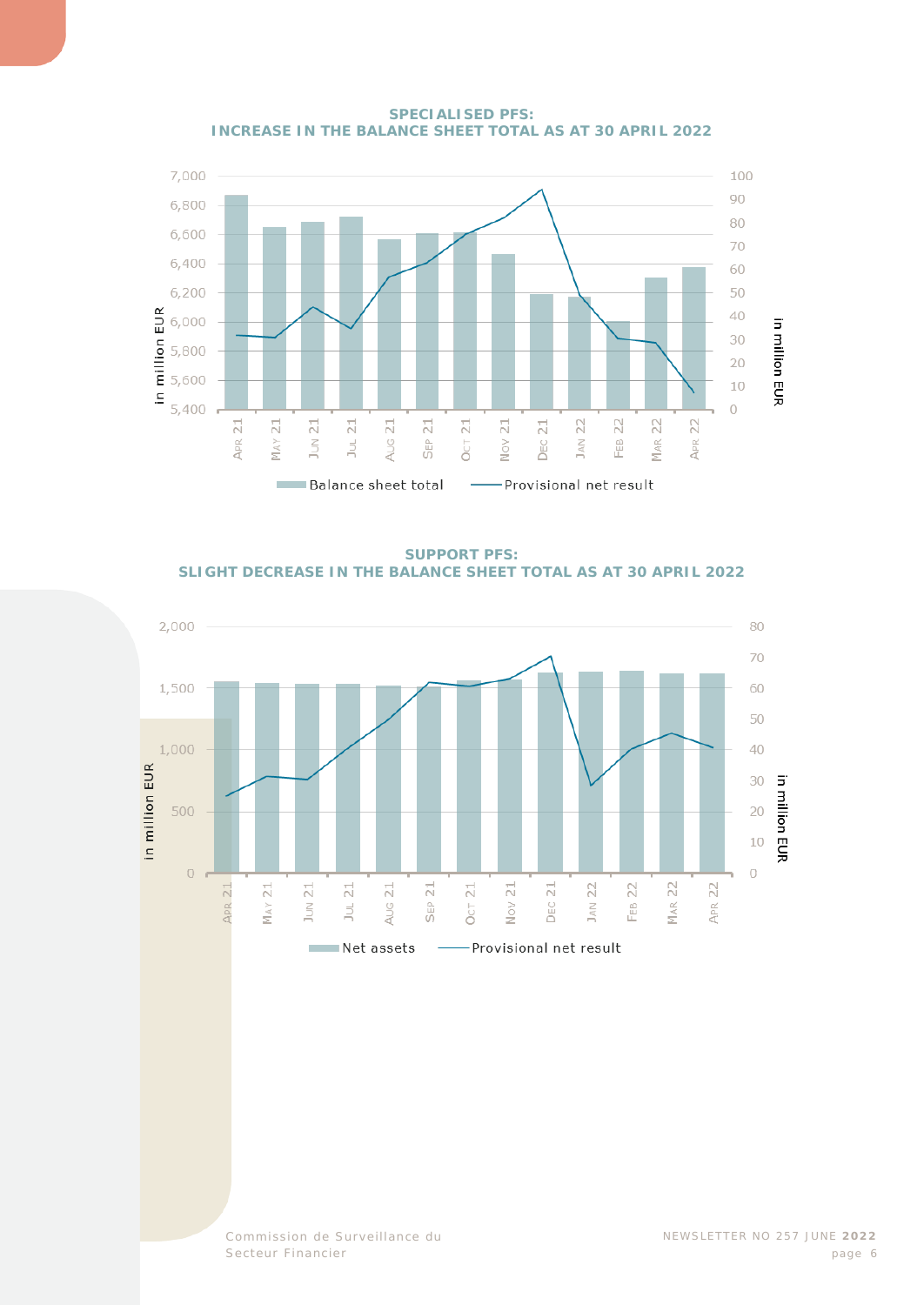

**SPECIALISED PFS: INCREASE IN THE BALANCE SHEET TOTAL AS AT 30 APRIL 2022** 

**SUPPORT PFS: SLIGHT DECREASE IN THE BALANCE SHEET TOTAL AS AT 30 APRIL 2022**

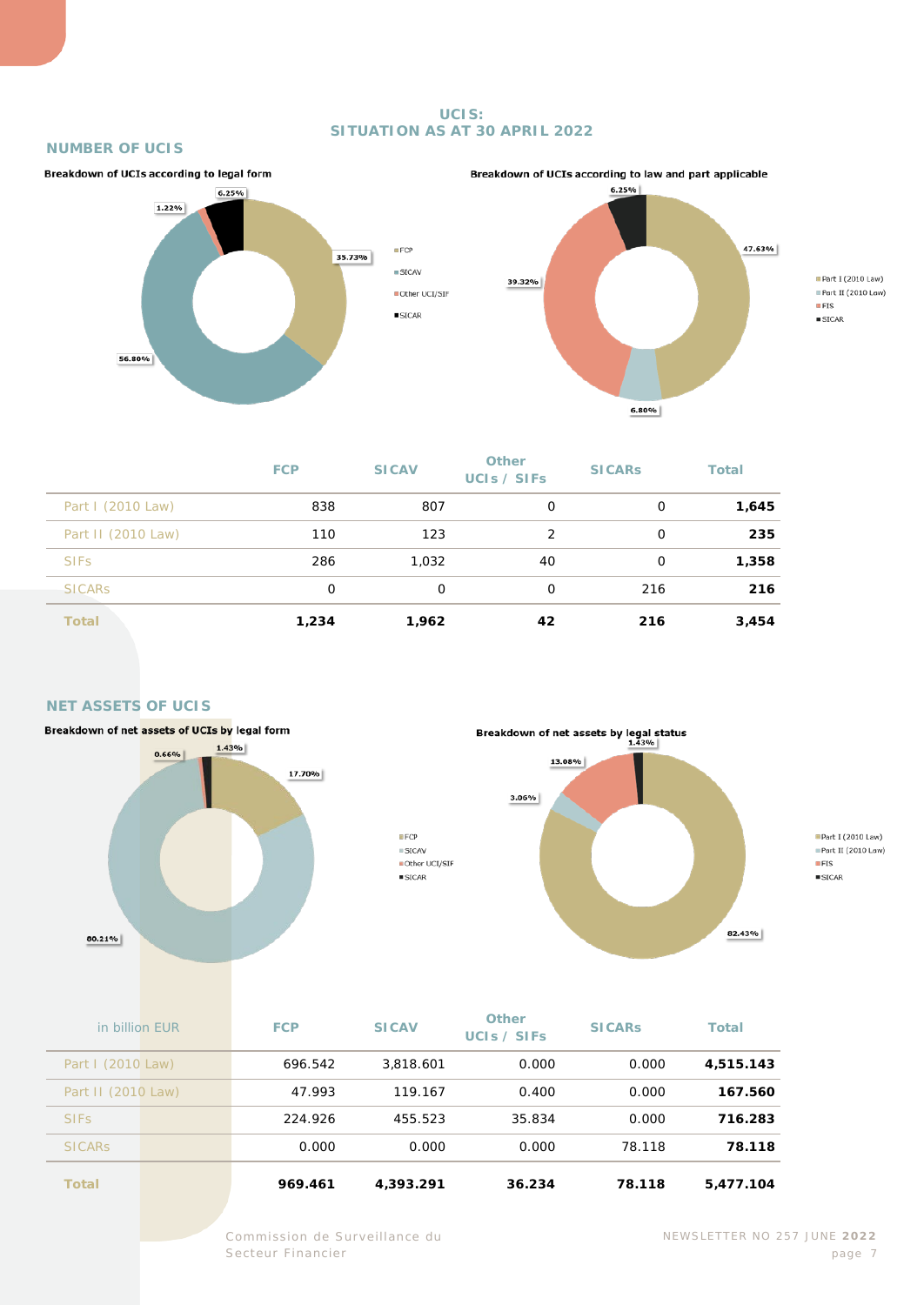#### **UCIS: SITUATION AS AT 30 APRIL 2022**

#### **NUMBER OF UCIS**





Part I (2010 Law) Part II (2010 Law)  $IFIS$  $\square$  SICAR

|                    | <b>FCP</b> | <b>SICAV</b> | Other<br>UCIS / SIFS | <b>SICARS</b> | <b>Total</b> |
|--------------------|------------|--------------|----------------------|---------------|--------------|
| Part I (2010 Law)  | 838        | 807          | 0                    | 0             | 1,645        |
| Part II (2010 Law) | 110        | 123          | 2                    | 0             | 235          |
| <b>SIFS</b>        | 286        | 1,032        | 40                   | 0             | 1,358        |
| <b>SICARS</b>      | 0          | 0            | $\Omega$             | 216           | 216          |
| <b>Total</b>       | 1,234      | 1,962        | 42                   | 216           | 3,454        |

#### **NET ASSETS OF UCIS**





**Part I** (2010 Law)  $Part II (2010 Law)$  $EFS$  $\square$  SICAR

| Total              | 969.461    | 4,393.291    | 36.234                      | 78.118        | 5,477.104    |
|--------------------|------------|--------------|-----------------------------|---------------|--------------|
| <b>SICARS</b>      | 0.000      | 0.000        | 0.000                       | 78.118        | 78.118       |
| <b>SIFS</b>        | 224.926    | 455.523      | 35.834                      | 0.000         | 716.283      |
| Part II (2010 Law) | 47.993     | 119.167      | 0.400                       | 0.000         | 167.560      |
| Part I (2010 Law)  | 696.542    | 3,818.601    | 0.000                       | 0.000         | 4,515.143    |
| in billion EUR     | <b>FCP</b> | <b>SICAV</b> | <b>Other</b><br>UCIS / SIFS | <b>SICARS</b> | <b>Total</b> |

 $EFCP$ 

 $\equiv$  SICAV

 $\square$  SICAR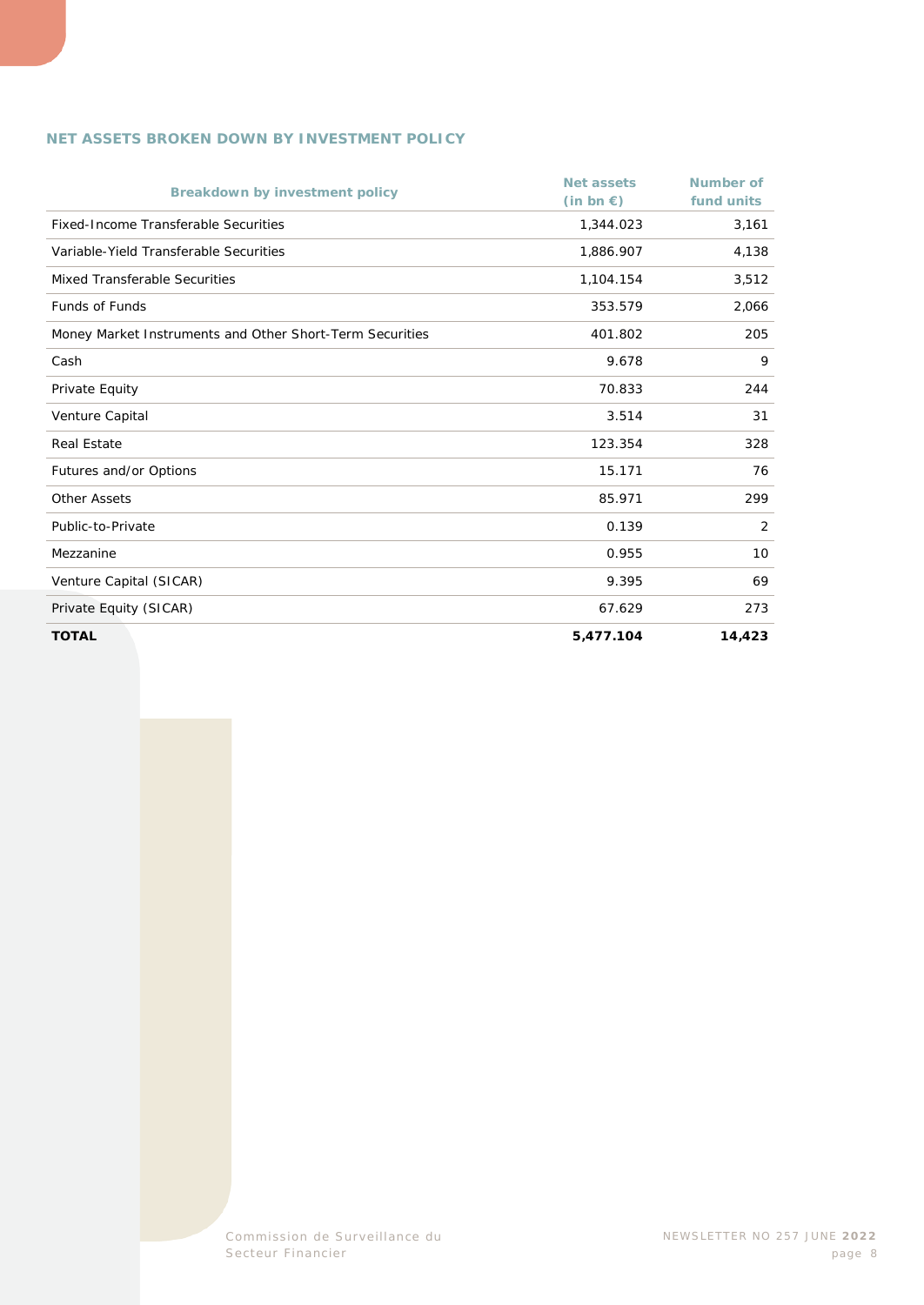#### **NET ASSETS BROKEN DOWN BY INVESTMENT POLICY**

| <b>Breakdown by investment policy</b>                    | Net assets<br>$(in bn \in)$ | Number of<br>fund units |
|----------------------------------------------------------|-----------------------------|-------------------------|
| <b>Fixed-Income Transferable Securities</b>              | 1,344.023                   | 3,161                   |
| Variable-Yield Transferable Securities                   | 1,886.907                   | 4,138                   |
| Mixed Transferable Securities                            | 1,104.154                   | 3,512                   |
| <b>Funds of Funds</b>                                    | 353.579                     | 2,066                   |
| Money Market Instruments and Other Short-Term Securities | 401.802                     | 205                     |
| Cash                                                     | 9.678                       | 9                       |
| Private Equity                                           | 70.833                      | 244                     |
| Venture Capital                                          | 3.514                       | 31                      |
| <b>Real Estate</b>                                       | 123.354                     | 328                     |
| Futures and/or Options                                   | 15.171                      | 76                      |
| Other Assets                                             | 85.971                      | 299                     |
| Public-to-Private                                        | 0.139                       | 2                       |
| Mezzanine                                                | 0.955                       | 10                      |
| Venture Capital (SICAR)                                  | 9.395                       | 69                      |
| Private Equity (SICAR)                                   | 67.629                      | 273                     |
| <b>TOTAL</b>                                             | 5,477.104                   | 14,423                  |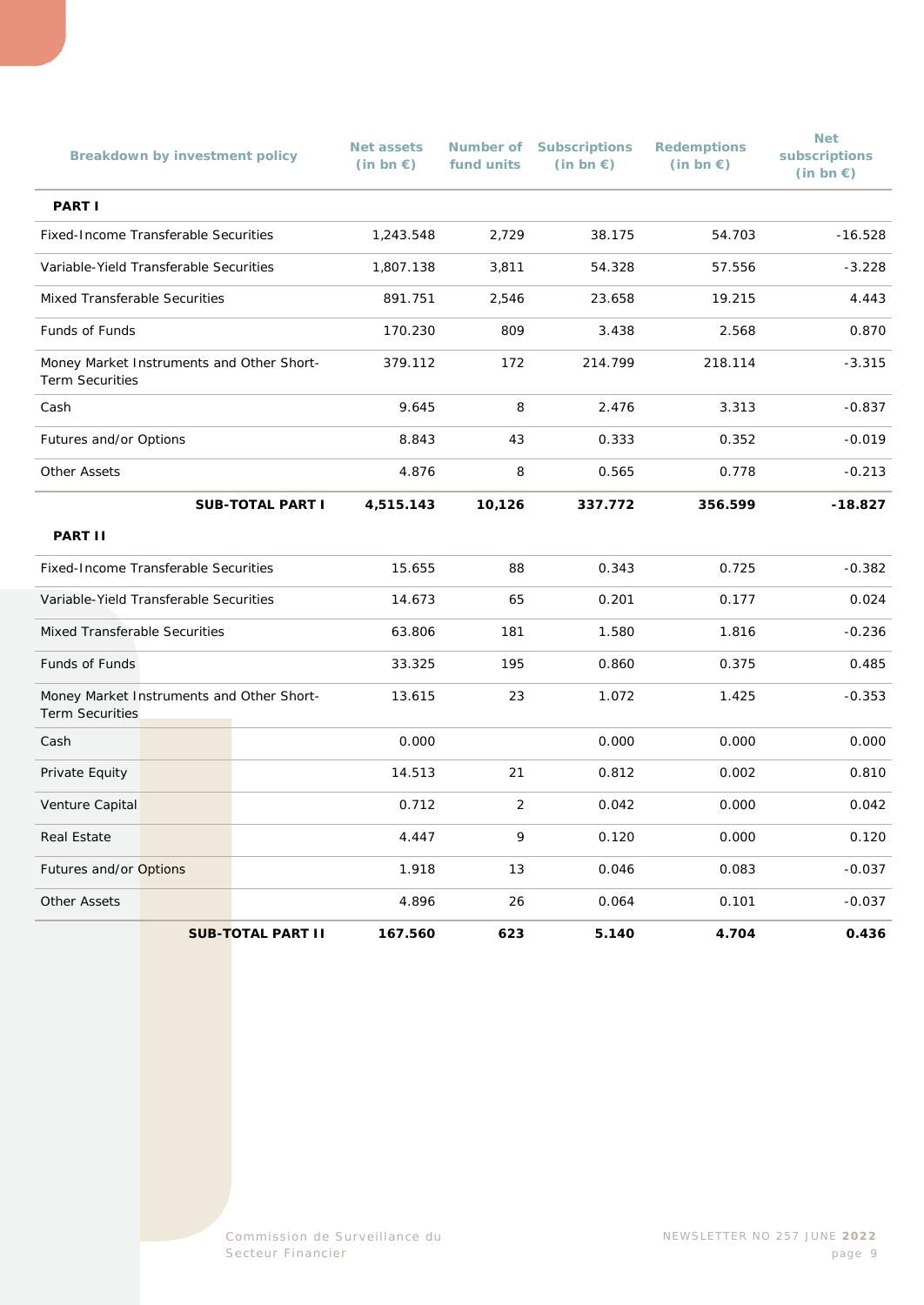|                                                                     | <b>Breakdown by investment policy</b> |                          | <b>Net assets</b><br>$(in bn \in)$ | fund units | <b>Number of Subscriptions</b><br>$(in bn \in)$ | <b>Redemptions</b><br>$(in bn \in)$ | <b>Net</b><br>subscriptions<br>(in bn $\epsilon$ ) |
|---------------------------------------------------------------------|---------------------------------------|--------------------------|------------------------------------|------------|-------------------------------------------------|-------------------------------------|----------------------------------------------------|
| <b>PART I</b>                                                       |                                       |                          |                                    |            |                                                 |                                     |                                                    |
| Fixed-Income Transferable Securities                                |                                       |                          | 1,243.548                          | 2,729      | 38.175                                          | 54.703                              | $-16.528$                                          |
| Variable-Yield Transferable Securities                              |                                       |                          | 1,807.138                          | 3,811      | 54.328                                          | 57.556                              | $-3.228$                                           |
| Mixed Transferable Securities                                       |                                       |                          | 891.751                            | 2,546      | 23.658                                          | 19.215                              | 4.443                                              |
| Funds of Funds                                                      |                                       |                          | 170.230                            | 809        | 3.438                                           | 2.568                               | 0.870                                              |
| Money Market Instruments and Other Short-<br><b>Term Securities</b> |                                       |                          | 379.112                            | 172        | 214.799                                         | 218.114                             | $-3.315$                                           |
| Cash                                                                |                                       |                          | 9.645                              | 8          | 2.476                                           | 3.313                               | $-0.837$                                           |
| Futures and/or Options                                              |                                       |                          | 8.843                              | 43         | 0.333                                           | 0.352                               | $-0.019$                                           |
| <b>Other Assets</b>                                                 |                                       |                          | 4.876                              | 8          | 0.565                                           | 0.778                               | $-0.213$                                           |
|                                                                     |                                       | <b>SUB-TOTAL PART I</b>  | 4,515.143                          | 10,126     | 337.772                                         | 356.599                             | $-18.827$                                          |
| <b>PART II</b>                                                      |                                       |                          |                                    |            |                                                 |                                     |                                                    |
| Fixed-Income Transferable Securities                                |                                       |                          | 15.655                             | 88         | 0.343                                           | 0.725                               | $-0.382$                                           |
| Variable-Yield Transferable Securities                              |                                       |                          | 14.673                             | 65         | 0.201                                           | 0.177                               | 0.024                                              |
| Mixed Transferable Securities                                       |                                       |                          | 63.806                             | 181        | 1.580                                           | 1.816                               | $-0.236$                                           |
| <b>Funds of Funds</b>                                               |                                       | 33.325                   | 195                                | 0.860      | 0.375                                           | 0.485                               |                                                    |
| Money Market Instruments and Other Short-<br><b>Term Securities</b> |                                       |                          | 13.615                             | 23         | 1.072                                           | 1.425                               | $-0.353$                                           |
| Cash                                                                |                                       |                          | 0.000                              |            | 0.000                                           | 0.000                               | 0.000                                              |
| Private Equity                                                      |                                       |                          | 14.513                             | 21         | 0.812                                           | 0.002                               | 0.810                                              |
| Venture Capital                                                     |                                       |                          | 0.712                              | 2          | 0.042                                           | 0.000                               | 0.042                                              |
| <b>Real Estate</b>                                                  |                                       |                          | 4.447                              | 9          | 0.120                                           | 0.000                               | 0.120                                              |
| Futures and/or Options                                              |                                       |                          | 1.918                              | 13         | 0.046                                           | 0.083                               | $-0.037$                                           |
| <b>Other Assets</b>                                                 |                                       |                          | 4.896                              | 26         | 0.064                                           | 0.101                               | $-0.037$                                           |
|                                                                     |                                       | <b>SUB-TOTAL PART II</b> | 167.560                            | 623        | 5.140                                           | 4.704                               | 0.436                                              |

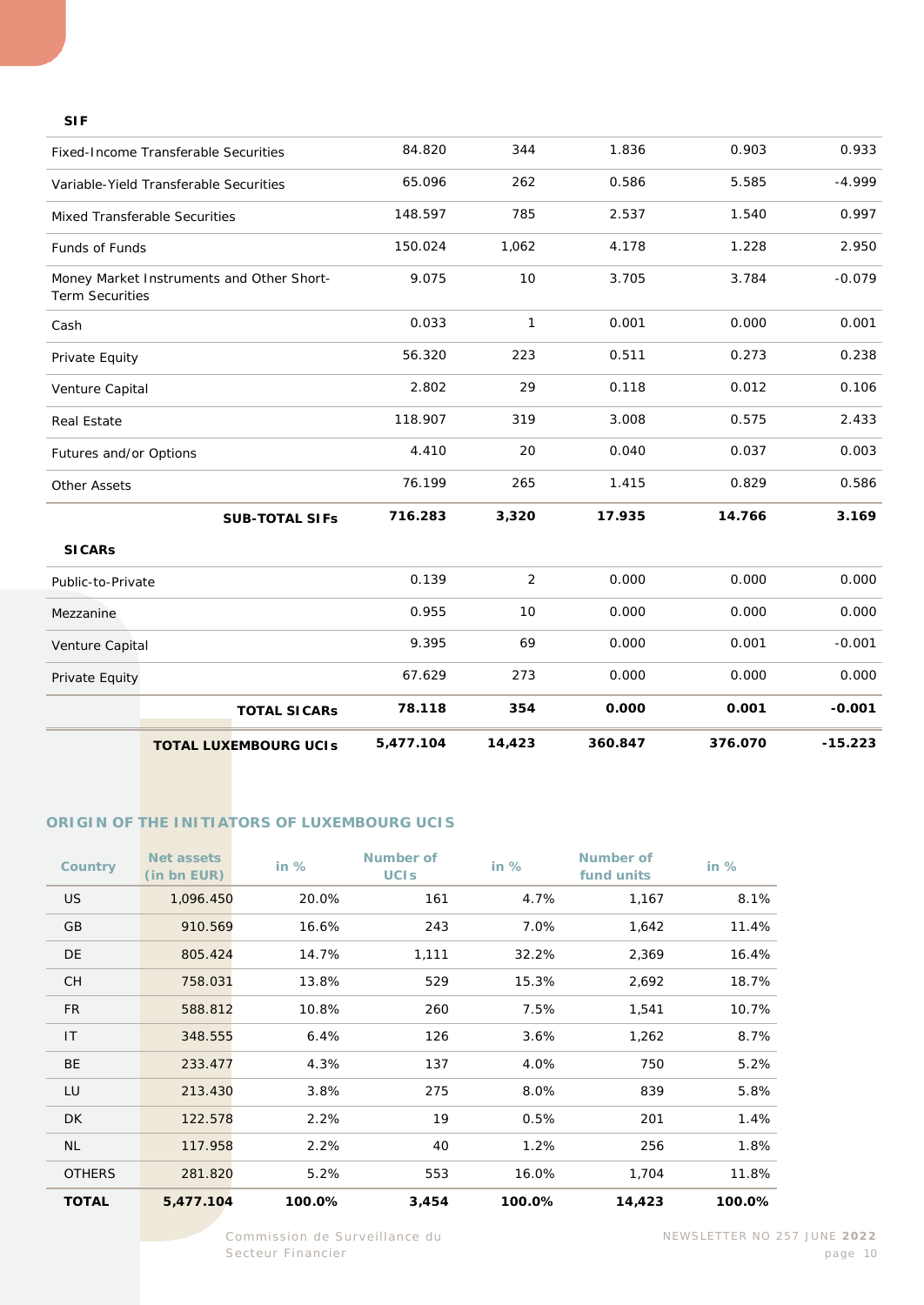#### **SIF**

|                                      | <b>TOTAL LUXEMBOURG UCIS</b>              | 5,477.104 | 14,423         | 360.847 | 376.070 | $-15.223$ |
|--------------------------------------|-------------------------------------------|-----------|----------------|---------|---------|-----------|
|                                      | <b>TOTAL SICARS</b>                       | 78.118    | 354            | 0.000   | 0.001   | $-0.001$  |
| Private Equity                       |                                           | 67.629    | 273            | 0.000   | 0.000   | 0.000     |
| Venture Capital                      |                                           | 9.395     | 69             | 0.000   | 0.001   | $-0.001$  |
| Mezzanine                            |                                           | 0.955     | 10             | 0.000   | 0.000   | 0.000     |
| Public-to-Private                    |                                           | 0.139     | $\overline{2}$ | 0.000   | 0.000   | 0.000     |
| <b>SICARS</b>                        |                                           |           |                |         |         |           |
|                                      | <b>SUB-TOTAL SIFs</b>                     | 716.283   | 3,320          | 17.935  | 14.766  | 3.169     |
| <b>Other Assets</b>                  |                                           | 76.199    | 265            | 1.415   | 0.829   | 0.586     |
| Futures and/or Options               |                                           | 4.410     | 20             | 0.040   | 0.037   | 0.003     |
| <b>Real Estate</b>                   |                                           | 118.907   | 319            | 3.008   | 0.575   | 2.433     |
| Venture Capital                      |                                           | 2.802     | 29             | 0.118   | 0.012   | 0.106     |
| Private Equity                       |                                           | 56.320    | 223            | 0.511   | 0.273   | 0.238     |
| Cash                                 |                                           | 0.033     | 1              | 0.001   | 0.000   | 0.001     |
| <b>Term Securities</b>               | Money Market Instruments and Other Short- | 9.075     | 10             | 3.705   | 3.784   | $-0.079$  |
| Funds of Funds                       |                                           | 150.024   | 1,062          | 4.178   | 1.228   | 2.950     |
| <b>Mixed Transferable Securities</b> |                                           | 148.597   | 785            | 2.537   | 1.540   | 0.997     |
|                                      | Variable-Yield Transferable Securities    | 65.096    | 262            | 0.586   | 5.585   | $-4.999$  |
|                                      | Fixed-Income Transferable Securities      | 84.820    | 344            | 1.836   | 0.903   | 0.933     |
|                                      |                                           |           |                |         |         |           |

#### **ORIGIN OF THE INITIATORS OF LUXEMBOURG UCIS**

| <b>Country</b> | Net assets<br>(in bn EUR) | in $%$ | Number of<br><b>UCIS</b> | in $%$ | Number of<br>fund units | in $%$ |
|----------------|---------------------------|--------|--------------------------|--------|-------------------------|--------|
| <b>US</b>      | 1,096.450                 | 20.0%  | 161                      | 4.7%   | 1,167                   | 8.1%   |
| GB             | 910.569                   | 16.6%  | 243                      | 7.0%   | 1,642                   | 11.4%  |
| DE             | 805.424                   | 14.7%  | 1,111                    | 32.2%  | 2,369                   | 16.4%  |
| <b>CH</b>      | 758.031                   | 13.8%  | 529                      | 15.3%  | 2,692                   | 18.7%  |
| <b>FR</b>      | 588.812                   | 10.8%  | 260                      | 7.5%   | 1,541                   | 10.7%  |
| IT             | 348.555                   | 6.4%   | 126                      | 3.6%   | 1,262                   | 8.7%   |
| <b>BE</b>      | 233.477                   | 4.3%   | 137                      | 4.0%   | 750                     | 5.2%   |
| LU             | 213.430                   | 3.8%   | 275                      | 8.0%   | 839                     | 5.8%   |
| DK.            | 122.578                   | 2.2%   | 19                       | 0.5%   | 201                     | 1.4%   |
| <b>NL</b>      | 117.958                   | 2.2%   | 40                       | 1.2%   | 256                     | 1.8%   |
| <b>OTHERS</b>  | 281.820                   | 5.2%   | 553                      | 16.0%  | 1,704                   | 11.8%  |
| <b>TOTAL</b>   | 5,477.104                 | 100.0% | 3,454                    | 100.0% | 14,423                  | 100.0% |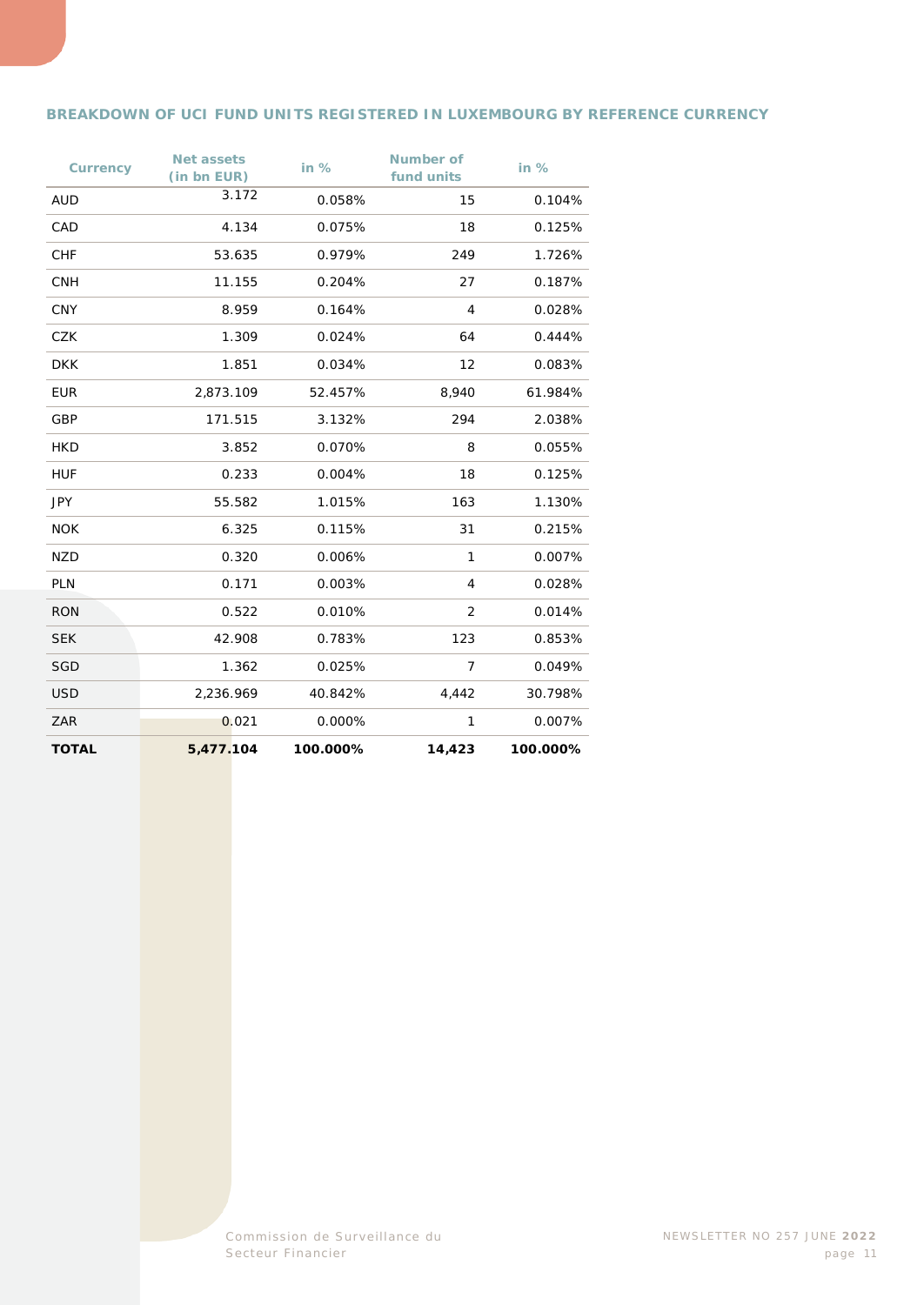#### **BREAKDOWN OF UCI FUND UNITS REGISTERED IN LUXEMBOURG BY REFERENCE CURRENCY**

| <b>Currency</b> | <b>Net assets</b><br>(in bn EUR) | in $%$   | <b>Number of</b><br>fund units | in $%$   |
|-----------------|----------------------------------|----------|--------------------------------|----------|
| <b>AUD</b>      | 3.172                            | 0.058%   | 15                             | 0.104%   |
| CAD             | 4.134                            | 0.075%   | 18                             | 0.125%   |
| <b>CHF</b>      | 53.635                           | 0.979%   | 249                            | 1.726%   |
| <b>CNH</b>      | 11.155                           | 0.204%   | 27                             | 0.187%   |
| <b>CNY</b>      | 8.959                            | 0.164%   | $\overline{4}$                 | 0.028%   |
| <b>CZK</b>      | 1.309                            | 0.024%   | 64                             | 0.444%   |
| <b>DKK</b>      | 1.851                            | 0.034%   | 12                             | 0.083%   |
| <b>EUR</b>      | 2,873.109                        | 52.457%  | 8,940                          | 61.984%  |
| GBP             | 171.515                          | 3.132%   | 294                            | 2.038%   |
| <b>HKD</b>      | 3.852                            | 0.070%   | 8                              | 0.055%   |
| <b>HUF</b>      | 0.233                            | 0.004%   | 18                             | 0.125%   |
| <b>JPY</b>      | 55.582                           | 1.015%   | 163                            | 1.130%   |
| <b>NOK</b>      | 6.325                            | 0.115%   | 31                             | 0.215%   |
| <b>NZD</b>      | 0.320                            | 0.006%   | 1                              | 0.007%   |
| <b>PLN</b>      | 0.171                            | 0.003%   | 4                              | 0.028%   |
| <b>RON</b>      | 0.522                            | 0.010%   | 2                              | 0.014%   |
| <b>SEK</b>      | 42.908                           | 0.783%   | 123                            | 0.853%   |
| <b>SGD</b>      | 1.362                            | 0.025%   | $\overline{7}$                 | 0.049%   |
| <b>USD</b>      | 2,236.969                        | 40.842%  | 4,442                          | 30.798%  |
| ZAR             | 0.021                            | 0.000%   | 1                              | 0.007%   |
| <b>TOTAL</b>    | 5,477.104                        | 100.000% | 14,423                         | 100.000% |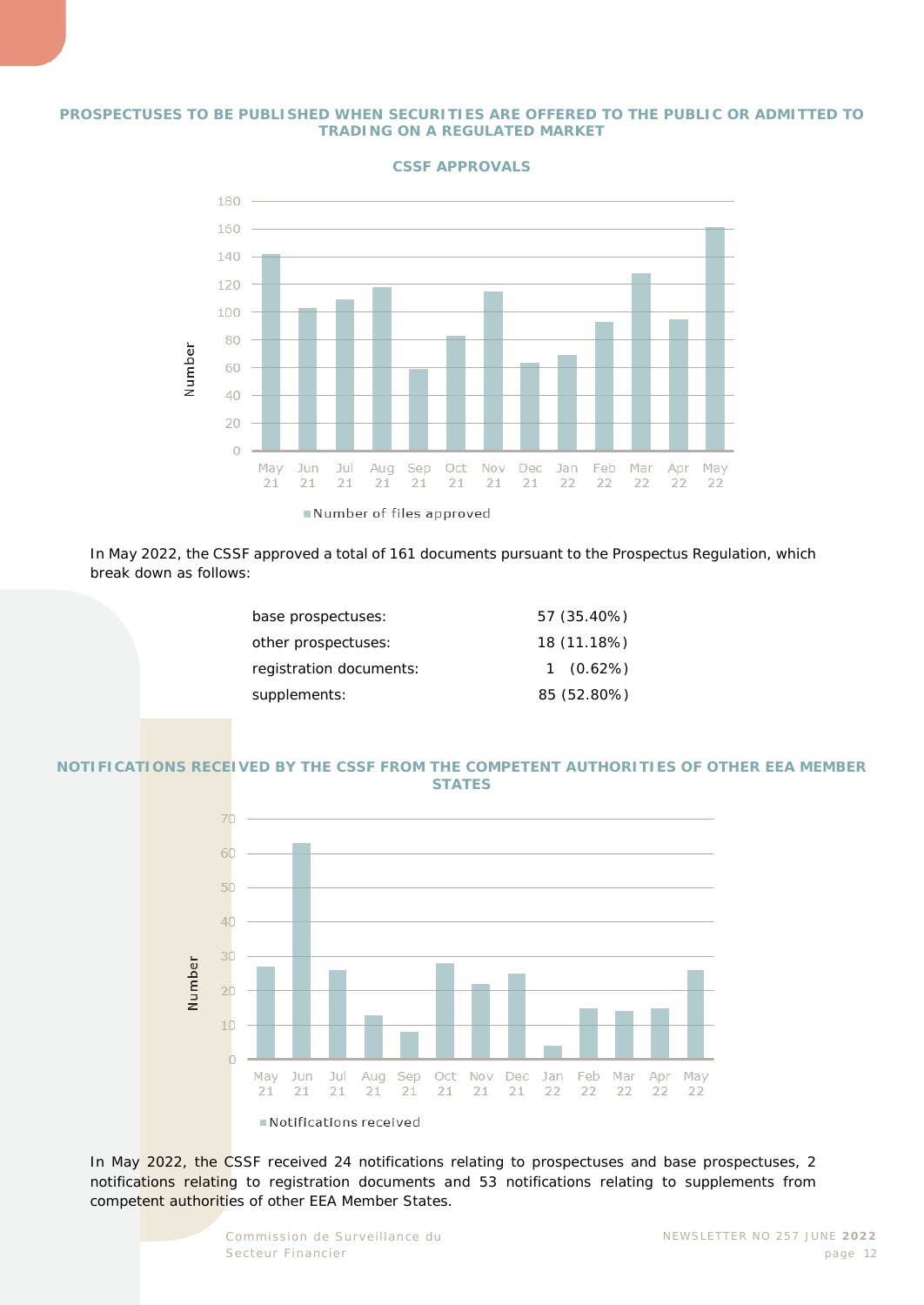#### **PROSPECTUSES TO BE PUBLISHED WHEN SECURITIES ARE OFFERED TO THE PUBLIC OR ADMITTED TO TRADING ON A REGULATED MARKET**



**CSSF APPROVALS**

In May 2022, the CSSF approved a total of 161 documents pursuant to the Prospectus Regulation, which break down as follows:

| base prospectuses:      | 57 (35.40%) |
|-------------------------|-------------|
| other prospectuses:     | 18 (11.18%) |
| registration documents: | $1(0.62\%)$ |
| supplements:            | 85 (52.80%) |
|                         |             |

#### **NOTIFICATIONS RECEIVED BY THE CSSF FROM THE COMPETENT AUTHORITIES OF OTHER EEA MEMBER STATES**



In May 2022, the CSSF received 24 notifications relating to prospectuses and base prospectuses, 2 notifications relating to registration documents and 53 notifications relating to supplements from competent authorities of other EEA Member States.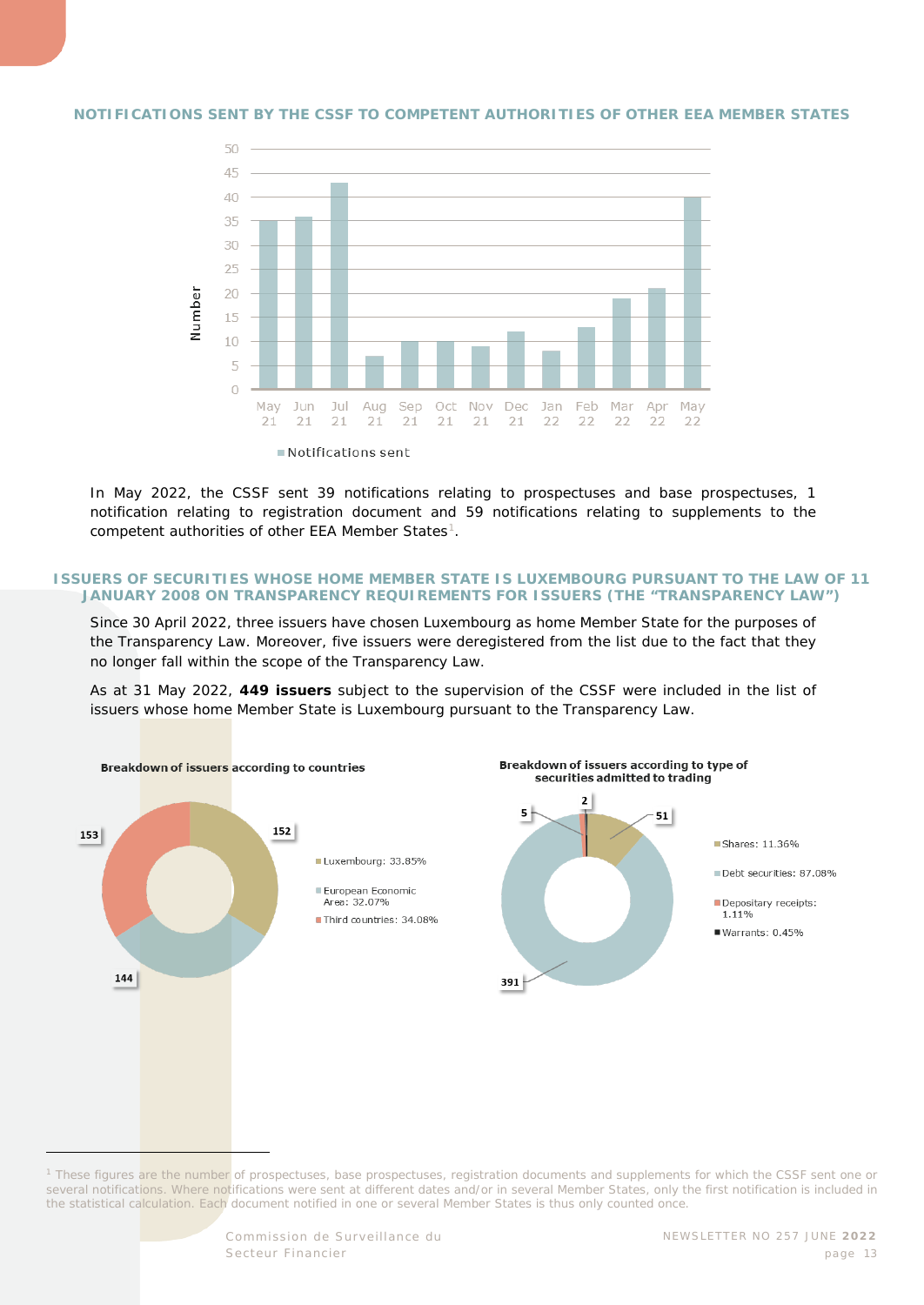

#### **NOTIFICATIONS SENT BY THE CSSF TO COMPETENT AUTHORITIES OF OTHER EEA MEMBER STATES**

In May 2022, the CSSF sent 39 notifications relating to prospectuses and base prospectuses, 1 notification relating to registration document and 59 notifications relating to supplements to the competent authorities of other EEA Member States<sup>1</sup>.

#### **ISSUERS OF SECURITIES WHOSE HOME MEMBER STATE IS LUXEMBOURG PURSUANT TO THE LAW OF 11 JANUARY 2008 ON TRANSPARENCY REQUIREMENTS FOR ISSUERS (THE "TRANSPARENCY LAW")**

Since 30 April 2022, three issuers have chosen Luxembourg as home Member State for the purposes of the Transparency Law. Moreover, five issuers were deregistered from the list due to the fact that they no longer fall within the scope of the Transparency Law.

As at 31 May 2022, **449 issuers** subject to the supervision of the CSSF were included in the list of issuers whose home Member State is Luxembourg pursuant to the Transparency Law.



<span id="page-12-0"></span>*<sup>1</sup> These figures are the number of prospectuses, base prospectuses, registration documents and supplements for which the CSSF sent one or several notifications. Where notifications were sent at different dates and/or in several Member States, only the first notification is included in the statistical calculation. Each document notified in one or several Member States is thus only counted once.*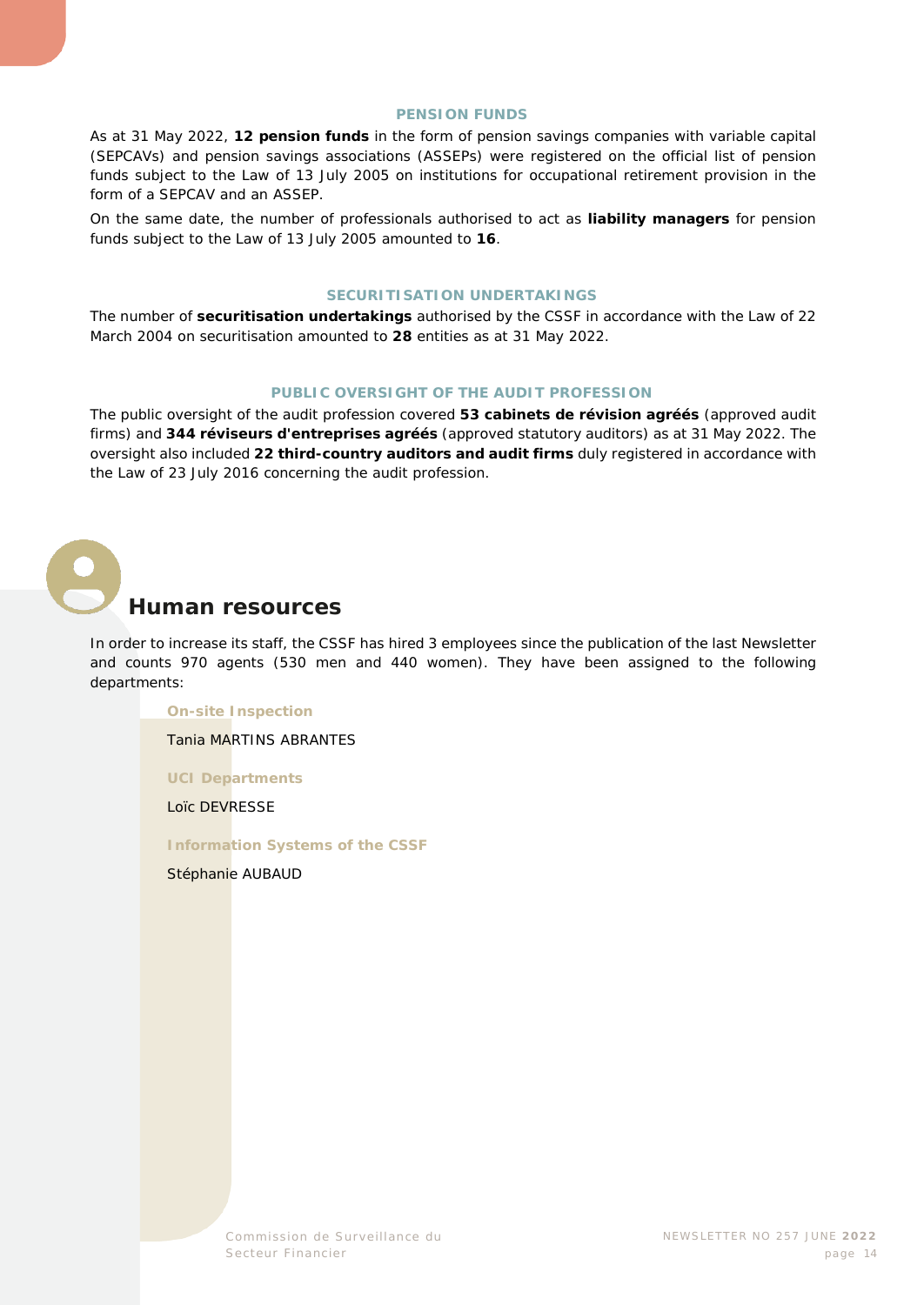#### **PENSION FUNDS**

As at 31 May 2022, **12 pension funds** in the form of pension savings companies with variable capital (SEPCAVs) and pension savings associations (ASSEPs) were registered on the official list of pension funds subject to the Law of 13 July 2005 on institutions for occupational retirement provision in the form of a SEPCAV and an ASSEP.

On the same date, the number of professionals authorised to act as **liability managers** for pension funds subject to the Law of 13 July 2005 amounted to **16**.

#### **SECURITISATION UNDERTAKINGS**

The number of **securitisation undertakings** authorised by the CSSF in accordance with the Law of 22 March 2004 on securitisation amounted to **28** entities as at 31 May 2022.

#### **PUBLIC OVERSIGHT OF THE AUDIT PROFESSION**

The public oversight of the audit profession covered **53** *cabinets de révision agréés* (approved audit firms) and **344** *réviseurs d'entreprises agréés* (approved statutory auditors) as at 31 May 2022. The oversight also included **22 third-country auditors and audit firms** duly registered in accordance with the Law of 23 July 2016 concerning the audit profession.

<span id="page-13-0"></span>

#### **Human resources**

In order to increase its staff, the CSSF has hired 3 employees since the publication of the last Newsletter and counts 970 agents (530 men and 440 women). They have been assigned to the following departments:

#### **On-site Inspection**

Tania MARTINS ABRANTES

**UCI Departments**

Loïc DEVRESSE

**Information Systems of the CSSF**

Stéphanie AUBAUD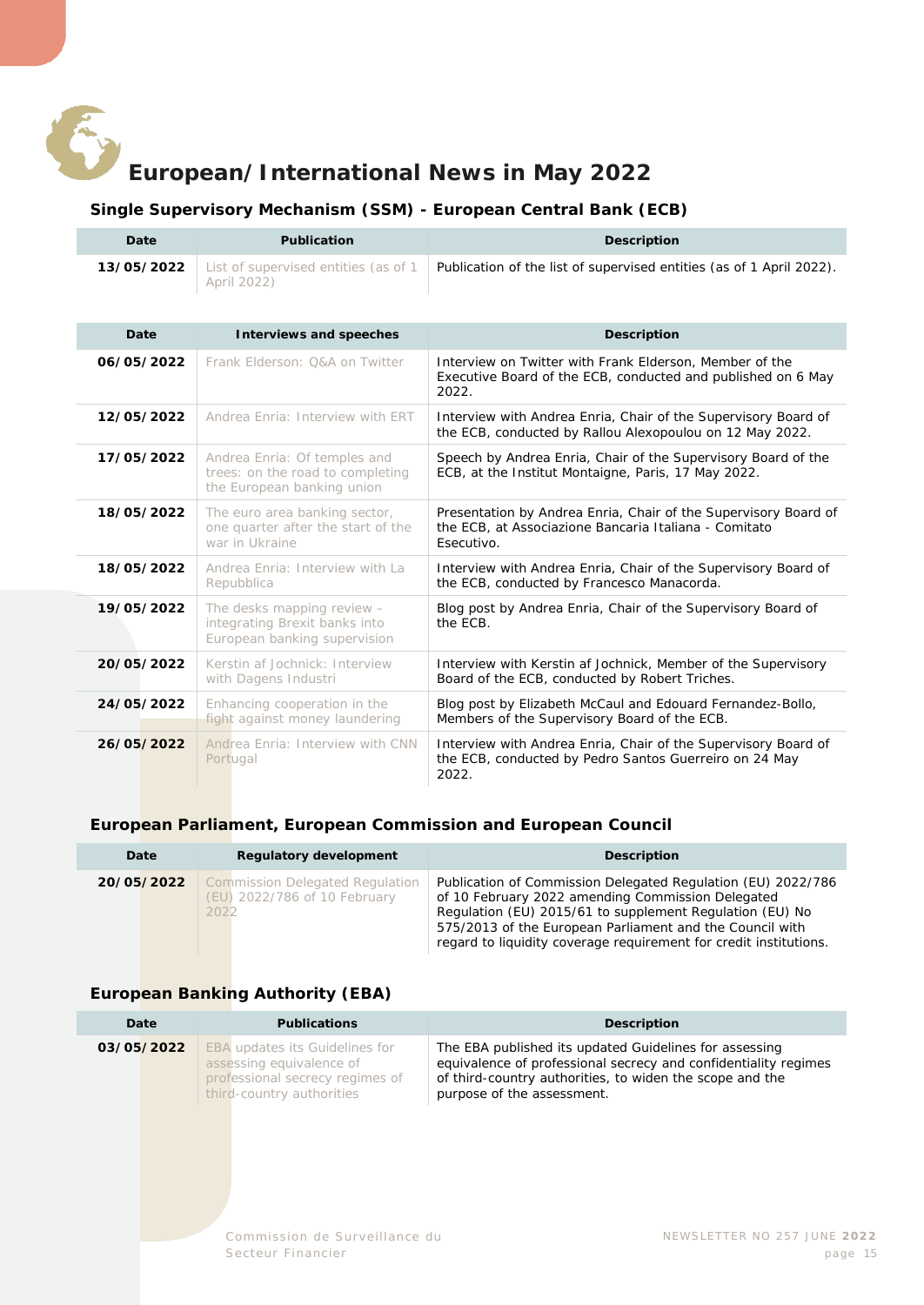<span id="page-14-0"></span>

### **European/International News in May 2022**

#### **Single Supervisory Mechanism (SSM) - European Central Bank (ECB)**

<span id="page-14-1"></span>

| Date       | <b>Publication</b>                                                                             | <b>Description</b>                                                                                                                     |
|------------|------------------------------------------------------------------------------------------------|----------------------------------------------------------------------------------------------------------------------------------------|
| 13/05/2022 | List of supervised entities (as of 1<br>April 2022)                                            | Publication of the list of supervised entities (as of 1 April 2022).                                                                   |
| Date       | <b>Interviews and speeches</b>                                                                 | <b>Description</b>                                                                                                                     |
| 06/05/2022 | Frank Elderson: O&A on Twitter                                                                 | Interview on Twitter with Frank Elderson, Member of the<br>Executive Board of the ECB, conducted and published on 6 May<br>2022.       |
| 12/05/2022 | Andrea Enria: Interview with ERT                                                               | Interview with Andrea Enria, Chair of the Supervisory Board of<br>the ECB, conducted by Rallou Alexopoulou on 12 May 2022.             |
| 17/05/2022 | Andrea Enria: Of temples and<br>trees: on the road to completing<br>the European banking union | Speech by Andrea Enria, Chair of the Supervisory Board of the<br>ECB, at the Institut Montaigne, Paris, 17 May 2022.                   |
| 18/05/2022 | The euro area banking sector,<br>one quarter after the start of the<br>war in Ukraine          | Presentation by Andrea Enria, Chair of the Supervisory Board of<br>the ECB, at Associazione Bancaria Italiana - Comitato<br>Esecutivo. |
| 18/05/2022 | Andrea Enria: Interview with La<br>Repubblica                                                  | Interview with Andrea Enria, Chair of the Supervisory Board of<br>the ECB, conducted by Francesco Manacorda.                           |
| 19/05/2022 | The desks mapping review -<br>integrating Brexit banks into<br>European banking supervision    | Blog post by Andrea Enria, Chair of the Supervisory Board of<br>the ECB.                                                               |
| 20/05/2022 | Kerstin af Jochnick: Interview<br>with Dagens Industri                                         | Interview with Kerstin af Jochnick, Member of the Supervisory<br>Board of the ECB, conducted by Robert Triches.                        |
| 24/05/2022 | Enhancing cooperation in the<br>fight against money laundering                                 | Blog post by Elizabeth McCaul and Edouard Fernandez-Bollo,<br>Members of the Supervisory Board of the ECB.                             |
| 26/05/2022 | Andrea Enria: Interview with CNN<br>Portugal                                                   | Interview with Andrea Enria, Chair of the Supervisory Board of<br>the ECB, conducted by Pedro Santos Guerreiro on 24 May<br>2022.      |

#### <span id="page-14-2"></span>**European Parliament, European Commission and European Council**

| Date       | <b>Regulatory development</b>                                           | <b>Description</b>                                                                                                                                                                                                                                                                                             |
|------------|-------------------------------------------------------------------------|----------------------------------------------------------------------------------------------------------------------------------------------------------------------------------------------------------------------------------------------------------------------------------------------------------------|
| 20/05/2022 | Commission Delegated Regulation<br>(EU) 2022/786 of 10 February<br>2022 | Publication of Commission Delegated Regulation (EU) 2022/786<br>of 10 February 2022 amending Commission Delegated<br>Regulation (EU) 2015/61 to supplement Regulation (EU) No<br>575/2013 of the European Parliament and the Council with<br>regard to liquidity coverage requirement for credit institutions. |

#### <span id="page-14-3"></span>**European Banking Authority (EBA)**

| Date       | <b>Publications</b>                                                                                                               | Description                                                                                                                                                                                                         |
|------------|-----------------------------------------------------------------------------------------------------------------------------------|---------------------------------------------------------------------------------------------------------------------------------------------------------------------------------------------------------------------|
| 03/05/2022 | <b>EBA updates its Guidelines for</b><br>assessing equivalence of<br>professional secrecy regimes of<br>third-country authorities | The EBA published its updated Guidelines for assessing<br>equivalence of professional secrecy and confidentiality regimes<br>of third-country authorities, to widen the scope and the<br>purpose of the assessment. |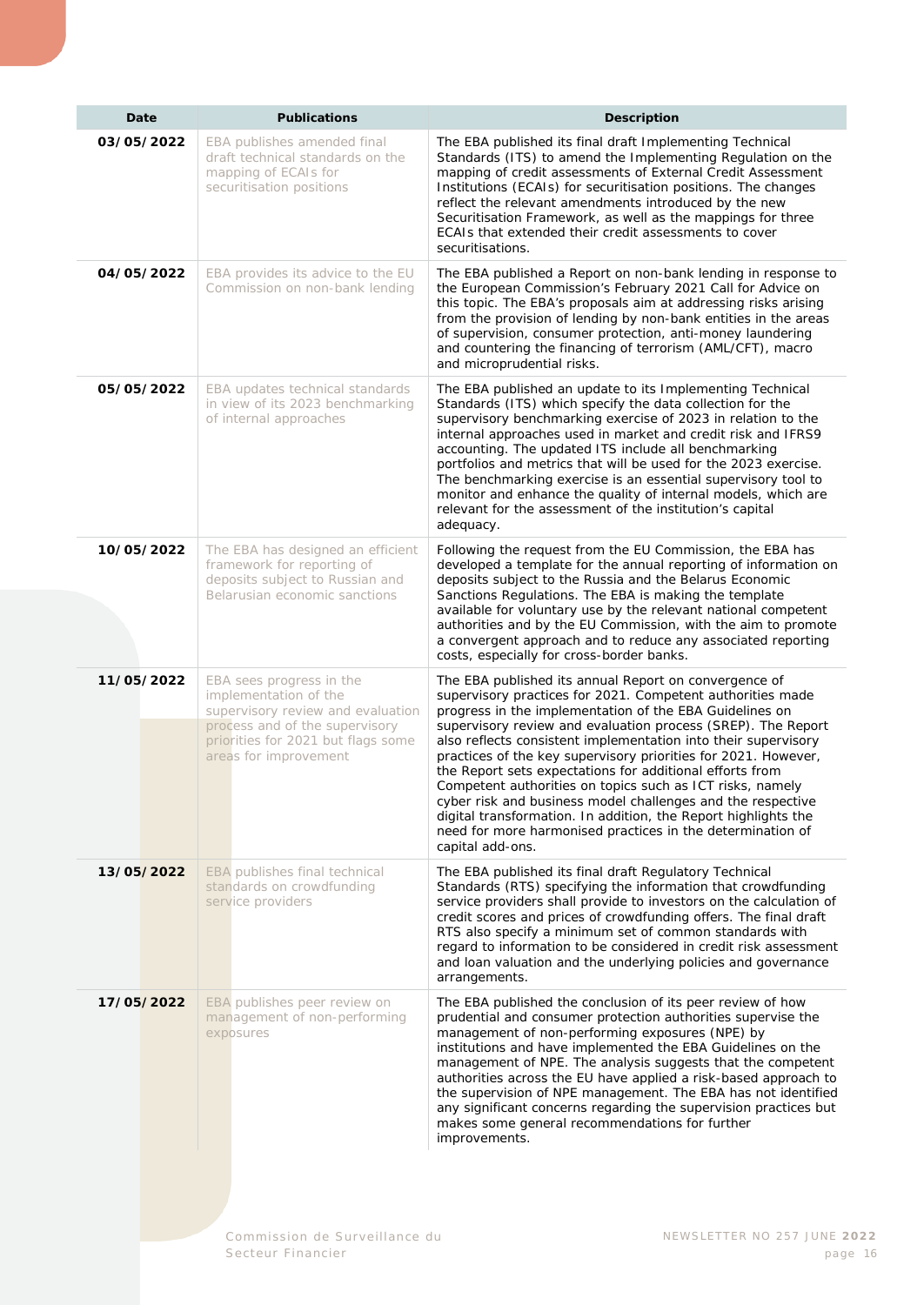| Date       | <b>Publications</b>                                                                                                                                                                     | <b>Description</b>                                                                                                                                                                                                                                                                                                                                                                                                                                                                                                                                                                                                                                                                                                             |
|------------|-----------------------------------------------------------------------------------------------------------------------------------------------------------------------------------------|--------------------------------------------------------------------------------------------------------------------------------------------------------------------------------------------------------------------------------------------------------------------------------------------------------------------------------------------------------------------------------------------------------------------------------------------------------------------------------------------------------------------------------------------------------------------------------------------------------------------------------------------------------------------------------------------------------------------------------|
| 03/05/2022 | EBA publishes amended final<br>draft technical standards on the<br>mapping of ECAIs for<br>securitisation positions                                                                     | The EBA published its final draft Implementing Technical<br>Standards (ITS) to amend the Implementing Regulation on the<br>mapping of credit assessments of External Credit Assessment<br>Institutions (ECAIs) for securitisation positions. The changes<br>reflect the relevant amendments introduced by the new<br>Securitisation Framework, as well as the mappings for three<br>ECAIs that extended their credit assessments to cover<br>securitisations.                                                                                                                                                                                                                                                                  |
| 04/05/2022 | EBA provides its advice to the EU<br>Commission on non-bank lending                                                                                                                     | The EBA published a Report on non-bank lending in response to<br>the European Commission's February 2021 Call for Advice on<br>this topic. The EBA's proposals aim at addressing risks arising<br>from the provision of lending by non-bank entities in the areas<br>of supervision, consumer protection, anti-money laundering<br>and countering the financing of terrorism (AML/CFT), macro<br>and microprudential risks.                                                                                                                                                                                                                                                                                                    |
| 05/05/2022 | EBA updates technical standards<br>in view of its 2023 benchmarking<br>of internal approaches                                                                                           | The EBA published an update to its Implementing Technical<br>Standards (ITS) which specify the data collection for the<br>supervisory benchmarking exercise of 2023 in relation to the<br>internal approaches used in market and credit risk and IFRS9<br>accounting. The updated ITS include all benchmarking<br>portfolios and metrics that will be used for the 2023 exercise.<br>The benchmarking exercise is an essential supervisory tool to<br>monitor and enhance the quality of internal models, which are<br>relevant for the assessment of the institution's capital<br>adequacy.                                                                                                                                   |
| 10/05/2022 | The EBA has designed an efficient<br>framework for reporting of<br>deposits subject to Russian and<br>Belarusian economic sanctions                                                     | Following the request from the EU Commission, the EBA has<br>developed a template for the annual reporting of information on<br>deposits subject to the Russia and the Belarus Economic<br>Sanctions Regulations. The EBA is making the template<br>available for voluntary use by the relevant national competent<br>authorities and by the EU Commission, with the aim to promote<br>a convergent approach and to reduce any associated reporting<br>costs, especially for cross-border banks.                                                                                                                                                                                                                               |
| 11/05/2022 | EBA sees progress in the<br>implementation of the<br>supervisory review and evaluation<br>process and of the supervisory<br>priorities for 2021 but flags some<br>areas for improvement | The EBA published its annual Report on convergence of<br>supervisory practices for 2021. Competent authorities made<br>progress in the implementation of the EBA Guidelines on<br>supervisory review and evaluation process (SREP). The Report<br>also reflects consistent implementation into their supervisory<br>practices of the key supervisory priorities for 2021. However,<br>the Report sets expectations for additional efforts from<br>Competent authorities on topics such as ICT risks, namely<br>cyber risk and business model challenges and the respective<br>digital transformation. In addition, the Report highlights the<br>need for more harmonised practices in the determination of<br>capital add-ons. |
| 13/05/2022 | EBA publishes final technical<br>standards on crowdfunding<br>service providers                                                                                                         | The EBA published its final draft Regulatory Technical<br>Standards (RTS) specifying the information that crowdfunding<br>service providers shall provide to investors on the calculation of<br>credit scores and prices of crowdfunding offers. The final draft<br>RTS also specify a minimum set of common standards with<br>regard to information to be considered in credit risk assessment<br>and loan valuation and the underlying policies and governance<br>arrangements.                                                                                                                                                                                                                                              |
| 17/05/2022 | EBA publishes peer review on<br>management of non-performing<br>exposures                                                                                                               | The EBA published the conclusion of its peer review of how<br>prudential and consumer protection authorities supervise the<br>management of non-performing exposures (NPE) by<br>institutions and have implemented the EBA Guidelines on the<br>management of NPE. The analysis suggests that the competent<br>authorities across the EU have applied a risk-based approach to<br>the supervision of NPE management. The EBA has not identified<br>any significant concerns regarding the supervision practices but<br>makes some general recommendations for further<br>improvements.                                                                                                                                         |
|            |                                                                                                                                                                                         |                                                                                                                                                                                                                                                                                                                                                                                                                                                                                                                                                                                                                                                                                                                                |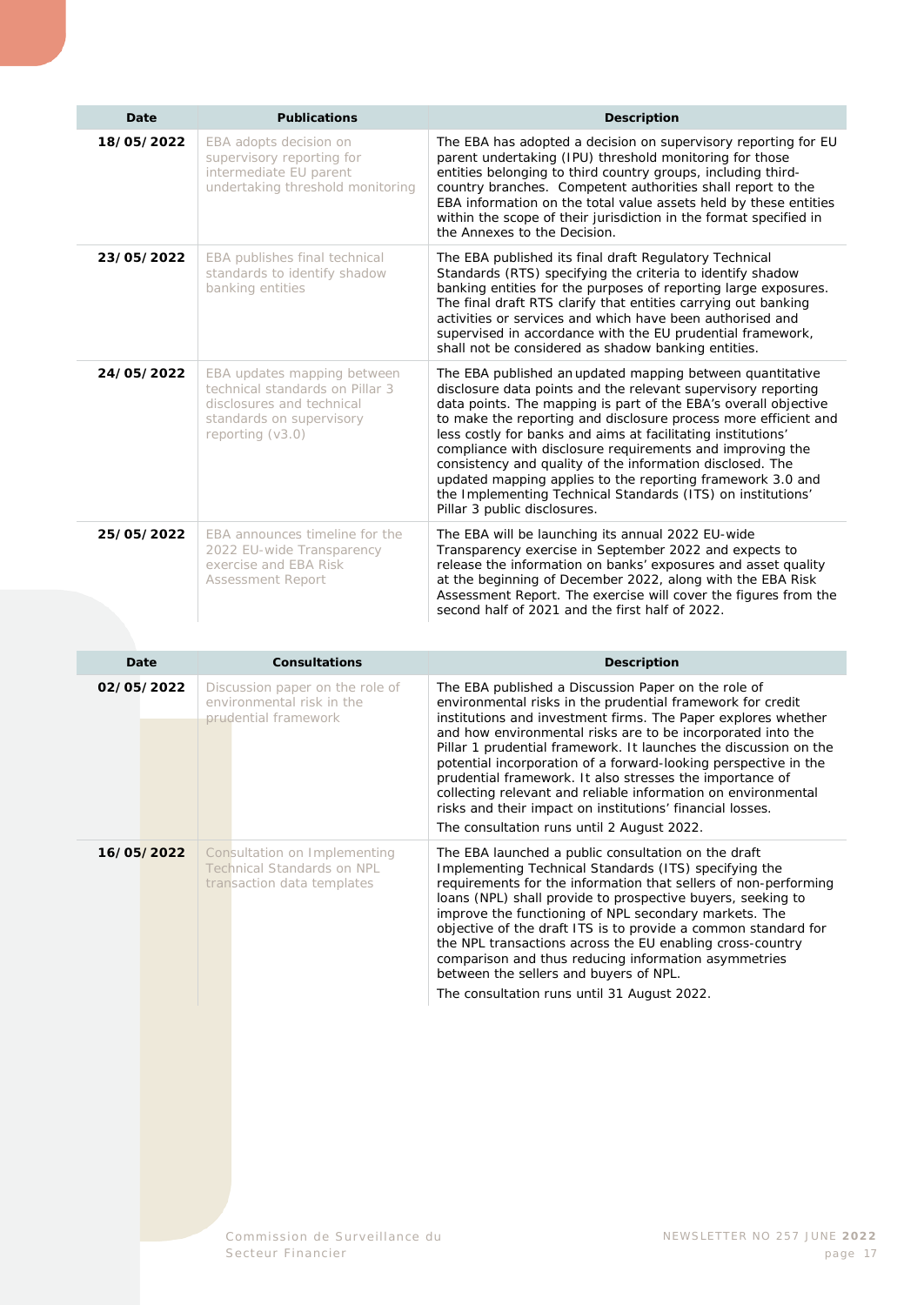| Date       | <b>Publications</b>                                                                                                                           | <b>Description</b>                                                                                                                                                                                                                                                                                                                                                                                                                                                                                                                                                                                                      |
|------------|-----------------------------------------------------------------------------------------------------------------------------------------------|-------------------------------------------------------------------------------------------------------------------------------------------------------------------------------------------------------------------------------------------------------------------------------------------------------------------------------------------------------------------------------------------------------------------------------------------------------------------------------------------------------------------------------------------------------------------------------------------------------------------------|
| 18/05/2022 | EBA adopts decision on<br>supervisory reporting for<br>intermediate EU parent<br>undertaking threshold monitoring                             | The EBA has adopted a decision on supervisory reporting for EU<br>parent undertaking (IPU) threshold monitoring for those<br>entities belonging to third country groups, including third-<br>country branches. Competent authorities shall report to the<br>EBA information on the total value assets held by these entities<br>within the scope of their jurisdiction in the format specified in<br>the Annexes to the Decision.                                                                                                                                                                                       |
| 23/05/2022 | EBA publishes final technical<br>standards to identify shadow<br>banking entities                                                             | The EBA published its final draft Regulatory Technical<br>Standards (RTS) specifying the criteria to identify shadow<br>banking entities for the purposes of reporting large exposures.<br>The final draft RTS clarify that entities carrying out banking<br>activities or services and which have been authorised and<br>supervised in accordance with the EU prudential framework,<br>shall not be considered as shadow banking entities.                                                                                                                                                                             |
| 24/05/2022 | EBA updates mapping between<br>technical standards on Pillar 3<br>disclosures and technical<br>standards on supervisory<br>reporting $(v3.0)$ | The EBA published an updated mapping between quantitative<br>disclosure data points and the relevant supervisory reporting<br>data points. The mapping is part of the EBA's overall objective<br>to make the reporting and disclosure process more efficient and<br>less costly for banks and aims at facilitating institutions'<br>compliance with disclosure requirements and improving the<br>consistency and quality of the information disclosed. The<br>updated mapping applies to the reporting framework 3.0 and<br>the Implementing Technical Standards (ITS) on institutions'<br>Pillar 3 public disclosures. |
| 25/05/2022 | EBA announces timeline for the<br>2022 EU-wide Transparency<br>exercise and EBA Risk<br><b>Assessment Report</b>                              | The EBA will be launching its annual 2022 EU-wide<br>Transparency exercise in September 2022 and expects to<br>release the information on banks' exposures and asset quality<br>at the beginning of December 2022, along with the EBA Risk<br>Assessment Report. The exercise will cover the figures from the<br>second half of 2021 and the first half of 2022.                                                                                                                                                                                                                                                        |

| Date       | <b>Consultations</b>                                                                            | <b>Description</b>                                                                                                                                                                                                                                                                                                                                                                                                                                                                                                                                                                                                               |
|------------|-------------------------------------------------------------------------------------------------|----------------------------------------------------------------------------------------------------------------------------------------------------------------------------------------------------------------------------------------------------------------------------------------------------------------------------------------------------------------------------------------------------------------------------------------------------------------------------------------------------------------------------------------------------------------------------------------------------------------------------------|
| 02/05/2022 | Discussion paper on the role of<br>environmental risk in the<br>prudential framework            | The EBA published a Discussion Paper on the role of<br>environmental risks in the prudential framework for credit<br>institutions and investment firms. The Paper explores whether<br>and how environmental risks are to be incorporated into the<br>Pillar 1 prudential framework. It launches the discussion on the<br>potential incorporation of a forward-looking perspective in the<br>prudential framework. It also stresses the importance of<br>collecting relevant and reliable information on environmental<br>risks and their impact on institutions' financial losses.<br>The consultation runs until 2 August 2022. |
| 16/05/2022 | Consultation on Implementing<br><b>Technical Standards on NPL</b><br>transaction data templates | The EBA launched a public consultation on the draft<br>Implementing Technical Standards (ITS) specifying the<br>requirements for the information that sellers of non-performing<br>loans (NPL) shall provide to prospective buyers, seeking to<br>improve the functioning of NPL secondary markets. The<br>objective of the draft ITS is to provide a common standard for<br>the NPL transactions across the EU enabling cross-country<br>comparison and thus reducing information asymmetries<br>between the sellers and buyers of NPL.<br>The consultation runs until 31 August 2022.                                          |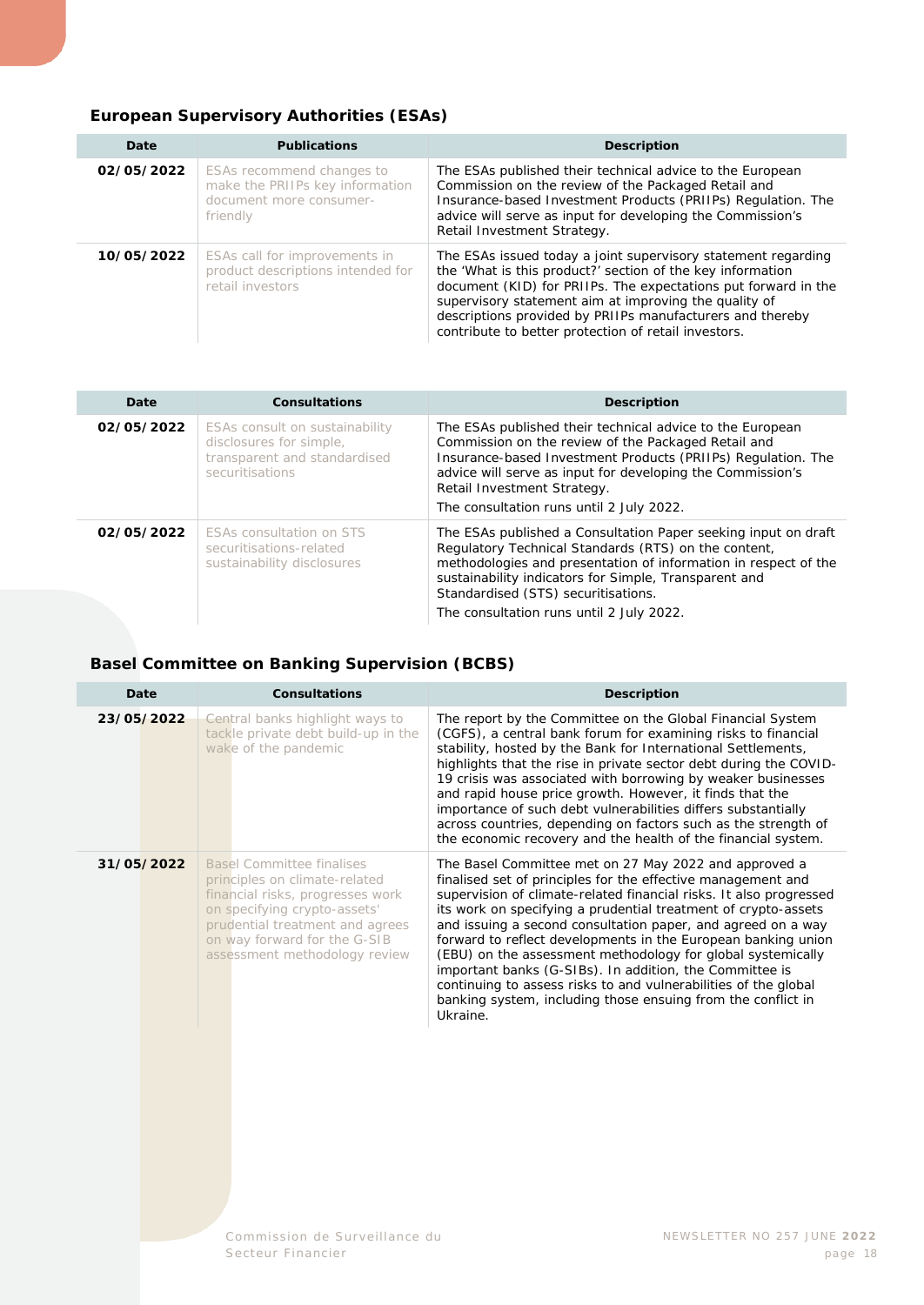#### <span id="page-17-0"></span>**European Supervisory Authorities (ESAs)**

| Date       | <b>Publications</b>                                                                                 | <b>Description</b>                                                                                                                                                                                                                                                                                                                                                          |
|------------|-----------------------------------------------------------------------------------------------------|-----------------------------------------------------------------------------------------------------------------------------------------------------------------------------------------------------------------------------------------------------------------------------------------------------------------------------------------------------------------------------|
| 02/05/2022 | ESAs recommend changes to<br>make the PRIIPs key information<br>document more consumer-<br>friendly | The ESAs published their technical advice to the European<br>Commission on the review of the Packaged Retail and<br>Insurance-based Investment Products (PRIIPs) Regulation. The<br>advice will serve as input for developing the Commission's<br>Retail Investment Strategy.                                                                                               |
| 10/05/2022 | ESAs call for improvements in<br>product descriptions intended for<br>retail investors              | The ESAs issued today a joint supervisory statement regarding<br>the 'What is this product?' section of the key information<br>document (KID) for PRIIPs. The expectations put forward in the<br>supervisory statement aim at improving the quality of<br>descriptions provided by PRIIPs manufacturers and thereby<br>contribute to better protection of retail investors. |

| Date       | <b>Consultations</b>                                                                                         | <b>Description</b>                                                                                                                                                                                                                                                                                                                    |
|------------|--------------------------------------------------------------------------------------------------------------|---------------------------------------------------------------------------------------------------------------------------------------------------------------------------------------------------------------------------------------------------------------------------------------------------------------------------------------|
| 02/05/2022 | ESAs consult on sustainability<br>disclosures for simple,<br>transparent and standardised<br>securitisations | The ESAs published their technical advice to the European<br>Commission on the review of the Packaged Retail and<br>Insurance-based Investment Products (PRIIPs) Regulation. The<br>advice will serve as input for developing the Commission's<br>Retail Investment Strategy.<br>The consultation runs until 2 July 2022.             |
| 02/05/2022 | <b>ESAs consultation on STS</b><br>securitisations-related<br>sustainability disclosures                     | The ESAs published a Consultation Paper seeking input on draft<br>Regulatory Technical Standards (RTS) on the content,<br>methodologies and presentation of information in respect of the<br>sustainability indicators for Simple, Transparent and<br>Standardised (STS) securitisations.<br>The consultation runs until 2 July 2022. |

#### <span id="page-17-1"></span>**Basel Committee on Banking Supervision (BCBS)**

| Date       | Consultations                                                                                                                                                                                                                             | <b>Description</b>                                                                                                                                                                                                                                                                                                                                                                                                                                                                                                                                                                                                                                                      |
|------------|-------------------------------------------------------------------------------------------------------------------------------------------------------------------------------------------------------------------------------------------|-------------------------------------------------------------------------------------------------------------------------------------------------------------------------------------------------------------------------------------------------------------------------------------------------------------------------------------------------------------------------------------------------------------------------------------------------------------------------------------------------------------------------------------------------------------------------------------------------------------------------------------------------------------------------|
| 23/05/2022 | Central banks highlight ways to<br>tackle private debt build-up in the<br>wake of the pandemic                                                                                                                                            | The report by the Committee on the Global Financial System<br>(CGFS), a central bank forum for examining risks to financial<br>stability, hosted by the Bank for International Settlements,<br>highlights that the rise in private sector debt during the COVID-<br>19 crisis was associated with borrowing by weaker businesses<br>and rapid house price growth. However, it finds that the<br>importance of such debt vulnerabilities differs substantially<br>across countries, depending on factors such as the strength of<br>the economic recovery and the health of the financial system.                                                                        |
| 31/05/2022 | <b>Basel Committee finalises</b><br>principles on climate-related<br>financial risks, progresses work<br>on specifying crypto-assets'<br>prudential treatment and agrees<br>on way forward for the G-SIB<br>assessment methodology review | The Basel Committee met on 27 May 2022 and approved a<br>finalised set of principles for the effective management and<br>supervision of climate-related financial risks. It also progressed<br>its work on specifying a prudential treatment of crypto-assets<br>and issuing a second consultation paper, and agreed on a way<br>forward to reflect developments in the European banking union<br>(EBU) on the assessment methodology for global systemically<br>important banks (G-SIBs). In addition, the Committee is<br>continuing to assess risks to and vulnerabilities of the global<br>banking system, including those ensuing from the conflict in<br>Ukraine. |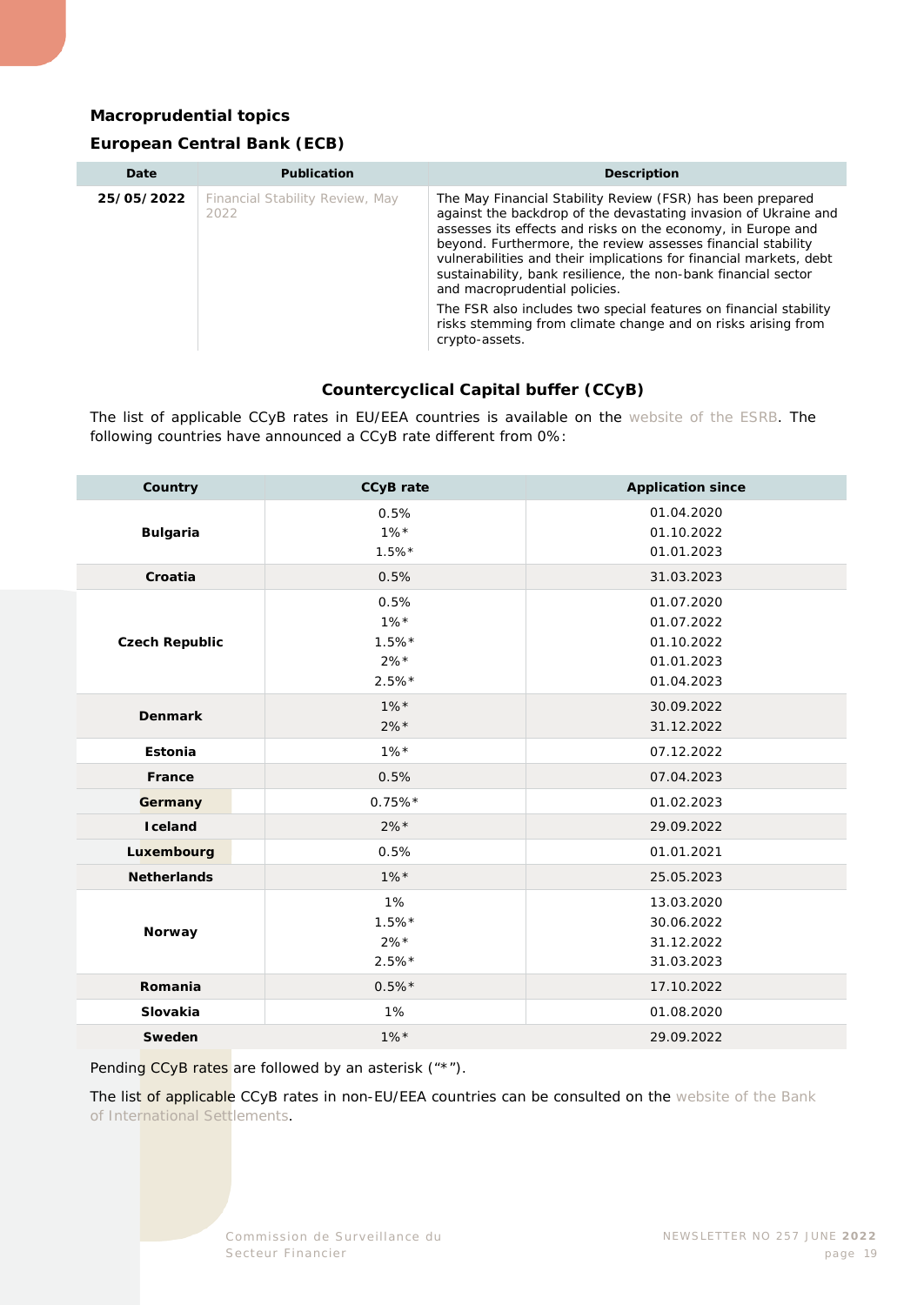#### <span id="page-18-0"></span>**Macroprudential topics**

#### **European Central Bank (ECB)**

| Date       | <b>Publication</b>                      | <b>Description</b>                                                                                                                                                                                                                                                                                                                                                                                                                     |
|------------|-----------------------------------------|----------------------------------------------------------------------------------------------------------------------------------------------------------------------------------------------------------------------------------------------------------------------------------------------------------------------------------------------------------------------------------------------------------------------------------------|
| 25/05/2022 | Financial Stability Review, May<br>2022 | The May Financial Stability Review (FSR) has been prepared<br>against the backdrop of the devastating invasion of Ukraine and<br>assesses its effects and risks on the economy, in Europe and<br>beyond. Furthermore, the review assesses financial stability<br>vulnerabilities and their implications for financial markets, debt<br>sustainability, bank resilience, the non-bank financial sector<br>and macroprudential policies. |
|            |                                         | The FSR also includes two special features on financial stability<br>risks stemming from climate change and on risks arising from<br>crypto-assets.                                                                                                                                                                                                                                                                                    |

#### **Countercyclical Capital buffer (CCyB)**

The list of applicable CCyB rates in EU/EEA countries is available on the [website of the ESRB.](https://www.esrb.europa.eu/national_policy/ccb/all_rates/html/index.en.html) The following countries have announced a CCyB rate different from 0%:

| Country               | <b>CCyB</b> rate                                 | <b>Application since</b>                                           |
|-----------------------|--------------------------------------------------|--------------------------------------------------------------------|
| <b>Bulgaria</b>       | 0.5%<br>$1\%*$<br>$1.5%$ *                       | 01.04.2020<br>01.10.2022<br>01.01.2023                             |
| Croatia               | 0.5%                                             | 31.03.2023                                                         |
| <b>Czech Republic</b> | 0.5%<br>$1\%*$<br>$1.5%$ *<br>$2\%*$<br>$2.5%$ * | 01.07.2020<br>01.07.2022<br>01.10.2022<br>01.01.2023<br>01.04.2023 |
| <b>Denmark</b>        | $1\%$ *<br>$2\%*$                                | 30.09.2022<br>31.12.2022                                           |
| Estonia               | $1\%*$                                           | 07.12.2022                                                         |
| France                | 0.5%                                             | 07.04.2023                                                         |
| Germany               | $0.75%$ *                                        | 01.02.2023                                                         |
| <b>I</b> celand       | $2\%*$                                           | 29.09.2022                                                         |
| Luxembourg            | 0.5%                                             | 01.01.2021                                                         |
| <b>Netherlands</b>    | $1\%$ *                                          | 25.05.2023                                                         |
| Norway                | 1%<br>$1.5%$ *<br>$2\%*$<br>$2.5%$ *             | 13.03.2020<br>30.06.2022<br>31.12.2022<br>31.03.2023               |
| Romania               | $0.5\%*$                                         | 17.10.2022                                                         |
| Slovakia              | 1%                                               | 01.08.2020                                                         |
| Sweden                | $1\%$ *                                          | 29.09.2022                                                         |

Pending CCyB rates are followed by an asterisk ("\*").

The list of applicable CCyB rates in non-EU/EEA countries can be consulted on the website of the Bank [of International Settlements.](https://www.bis.org/bcbs/ccyb/)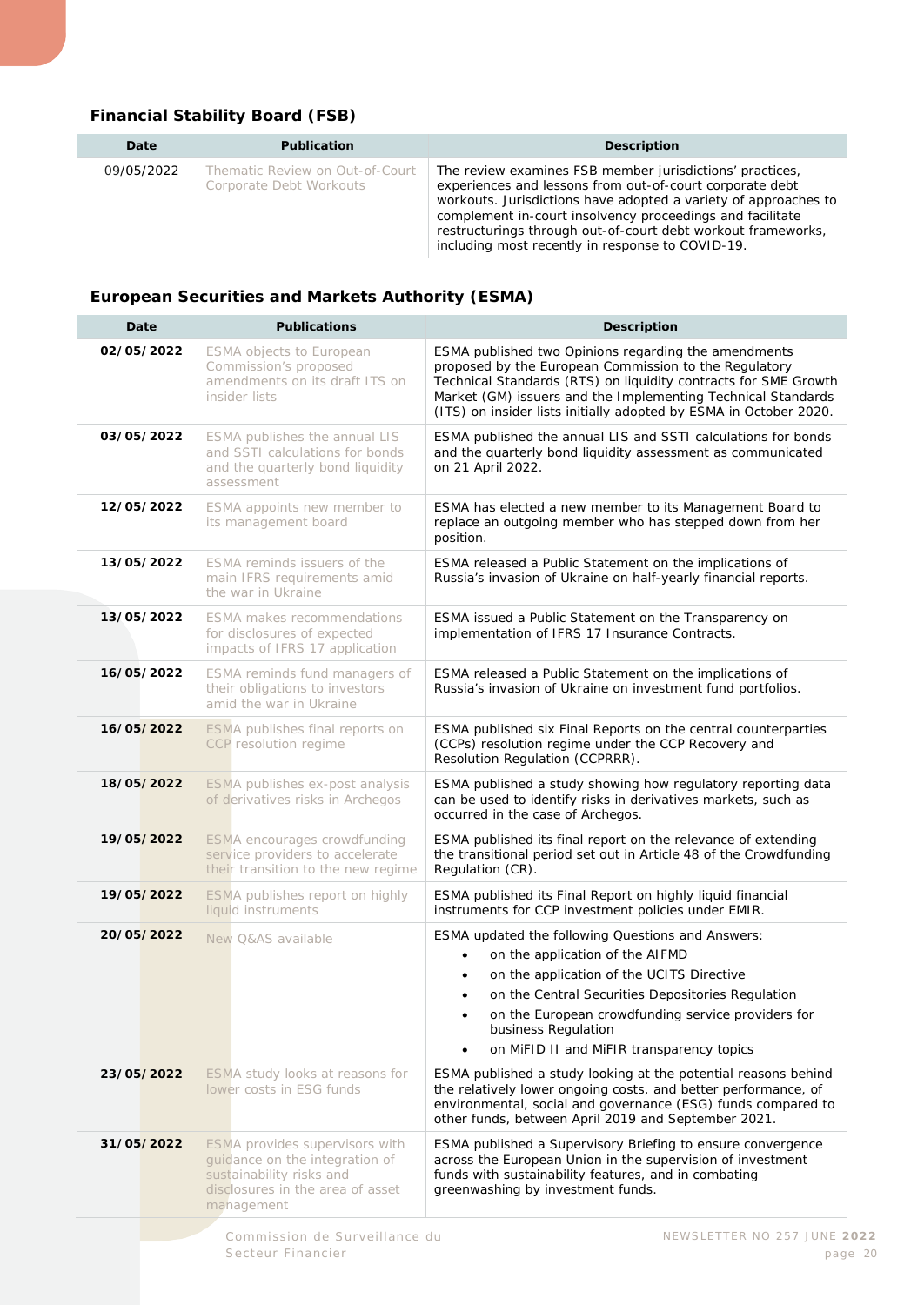#### <span id="page-19-0"></span>**Financial Stability Board (FSB)**

| Date       | <b>Publication</b>                                         | <b>Description</b>                                                                                                                                                                                                                                                                                                                                                       |
|------------|------------------------------------------------------------|--------------------------------------------------------------------------------------------------------------------------------------------------------------------------------------------------------------------------------------------------------------------------------------------------------------------------------------------------------------------------|
| 09/05/2022 | Thematic Review on Out-of-Court<br>Corporate Debt Workouts | The review examines FSB member jurisdictions' practices,<br>experiences and lessons from out-of-court corporate debt<br>workouts. Jurisdictions have adopted a variety of approaches to<br>complement in-court insolvency proceedings and facilitate<br>restructurings through out-of-court debt workout frameworks,<br>including most recently in response to COVID-19. |

#### <span id="page-19-1"></span>**European Securities and Markets Authority (ESMA)**

| 02/05/2022<br>03/05/2022<br>12/05/2022<br>13/05/2022<br>13/05/2022<br>16/05/2022<br>16/05/2022<br>18/05/2022<br>19/05/2022 | ESMA objects to European<br>Commission's proposed<br>amendments on its draft ITS on<br>insider lists<br>ESMA publishes the annual LIS<br>and SSTI calculations for bonds<br>and the quarterly bond liquidity<br>assessment | ESMA published two Opinions regarding the amendments<br>proposed by the European Commission to the Regulatory<br>Technical Standards (RTS) on liquidity contracts for SME Growth<br>Market (GM) issuers and the Implementing Technical Standards<br>(ITS) on insider lists initially adopted by ESMA in October 2020.<br>ESMA published the annual LIS and SSTI calculations for bonds<br>and the quarterly bond liquidity assessment as communicated |
|----------------------------------------------------------------------------------------------------------------------------|----------------------------------------------------------------------------------------------------------------------------------------------------------------------------------------------------------------------------|-------------------------------------------------------------------------------------------------------------------------------------------------------------------------------------------------------------------------------------------------------------------------------------------------------------------------------------------------------------------------------------------------------------------------------------------------------|
|                                                                                                                            |                                                                                                                                                                                                                            |                                                                                                                                                                                                                                                                                                                                                                                                                                                       |
|                                                                                                                            |                                                                                                                                                                                                                            | on 21 April 2022.                                                                                                                                                                                                                                                                                                                                                                                                                                     |
|                                                                                                                            | ESMA appoints new member to<br>its management board                                                                                                                                                                        | ESMA has elected a new member to its Management Board to<br>replace an outgoing member who has stepped down from her<br>position.                                                                                                                                                                                                                                                                                                                     |
|                                                                                                                            | ESMA reminds issuers of the<br>main IFRS requirements amid<br>the war in Ukraine                                                                                                                                           | ESMA released a Public Statement on the implications of<br>Russia's invasion of Ukraine on half-yearly financial reports.                                                                                                                                                                                                                                                                                                                             |
|                                                                                                                            | ESMA makes recommendations<br>for disclosures of expected<br>impacts of IFRS 17 application                                                                                                                                | ESMA issued a Public Statement on the Transparency on<br>implementation of IFRS 17 Insurance Contracts.                                                                                                                                                                                                                                                                                                                                               |
|                                                                                                                            | ESMA reminds fund managers of<br>their obligations to investors<br>amid the war in Ukraine                                                                                                                                 | ESMA released a Public Statement on the implications of<br>Russia's invasion of Ukraine on investment fund portfolios.                                                                                                                                                                                                                                                                                                                                |
|                                                                                                                            | ESMA publishes final reports on<br>CCP resolution regime                                                                                                                                                                   | ESMA published six Final Reports on the central counterparties<br>(CCPs) resolution regime under the CCP Recovery and<br>Resolution Regulation (CCPRRR).                                                                                                                                                                                                                                                                                              |
|                                                                                                                            | ESMA publishes ex-post analysis<br>of derivatives risks in Archegos                                                                                                                                                        | ESMA published a study showing how regulatory reporting data<br>can be used to identify risks in derivatives markets, such as<br>occurred in the case of Archegos.                                                                                                                                                                                                                                                                                    |
|                                                                                                                            | <b>ESMA</b> encourages crowdfunding<br>service providers to accelerate<br>their transition to the new regime                                                                                                               | ESMA published its final report on the relevance of extending<br>the transitional period set out in Article 48 of the Crowdfunding<br>Regulation (CR).                                                                                                                                                                                                                                                                                                |
| 19/05/2022                                                                                                                 | ESMA publishes report on highly<br>liquid instruments                                                                                                                                                                      | ESMA published its Final Report on highly liquid financial<br>instruments for CCP investment policies under EMIR.                                                                                                                                                                                                                                                                                                                                     |
| 20/05/2022                                                                                                                 | New Q&AS available                                                                                                                                                                                                         | <b>ESMA updated the following Questions and Answers:</b><br>on the application of the AIFMD<br>$\bullet$<br>on the application of the UCITS Directive<br>$\bullet$<br>on the Central Securities Depositories Regulation<br>$\bullet$<br>on the European crowdfunding service providers for<br>business Regulation<br>on MiFID II and MiFIR transparency topics<br>$\bullet$                                                                           |
| 23/05/2022                                                                                                                 | ESMA study looks at reasons for<br>lower costs in ESG funds                                                                                                                                                                | ESMA published a study looking at the potential reasons behind<br>the relatively lower ongoing costs, and better performance, of<br>environmental, social and governance (ESG) funds compared to<br>other funds, between April 2019 and September 2021.                                                                                                                                                                                               |
| 31/05/2022                                                                                                                 | ESMA provides supervisors with<br>guidance on the integration of<br>sustainability risks and<br>disclosures in the area of asset<br>management                                                                             | ESMA published a Supervisory Briefing to ensure convergence<br>across the European Union in the supervision of investment<br>funds with sustainability features, and in combating<br>greenwashing by investment funds.                                                                                                                                                                                                                                |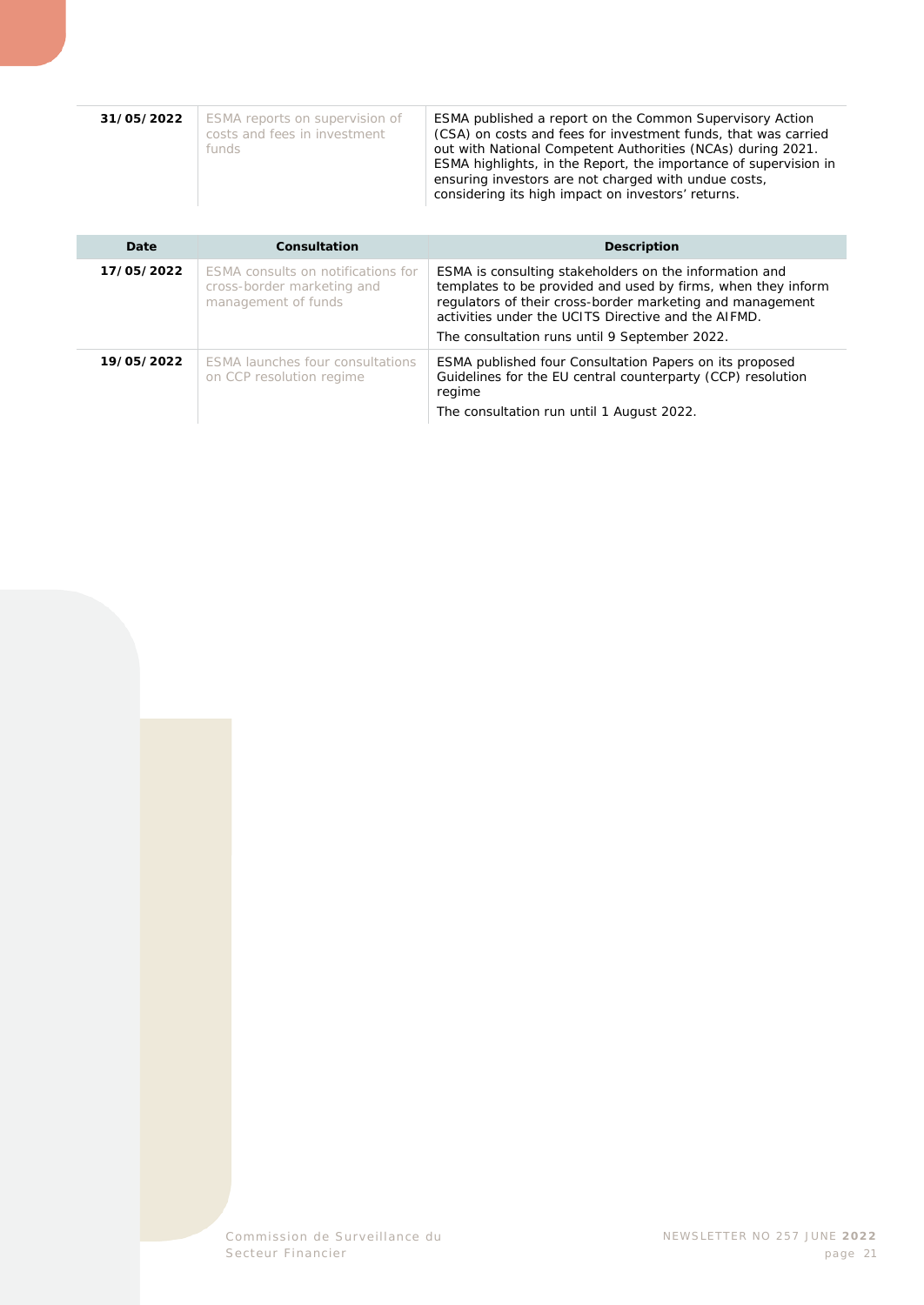| 31/05/2022 | ESMA reports on supervision of<br>costs and fees in investment<br>funds | ESMA published a report on the Common Supervisory Action<br>(CSA) on costs and fees for investment funds, that was carried<br>out with National Competent Authorities (NCAs) during 2021.<br>ESMA highlights, in the Report, the importance of supervision in<br>ensuring investors are not charged with undue costs,<br>considering its high impact on investors' returns. |
|------------|-------------------------------------------------------------------------|-----------------------------------------------------------------------------------------------------------------------------------------------------------------------------------------------------------------------------------------------------------------------------------------------------------------------------------------------------------------------------|

| Date       | Consultation                                                                            | <b>Description</b>                                                                                                                                                                                                                                                                          |
|------------|-----------------------------------------------------------------------------------------|---------------------------------------------------------------------------------------------------------------------------------------------------------------------------------------------------------------------------------------------------------------------------------------------|
| 17/05/2022 | ESMA consults on notifications for<br>cross-border marketing and<br>management of funds | ESMA is consulting stakeholders on the information and<br>templates to be provided and used by firms, when they inform<br>regulators of their cross-border marketing and management<br>activities under the UCITS Directive and the AIFMD.<br>The consultation runs until 9 September 2022. |
| 19/05/2022 | <b>ESMA launches four consultations</b><br>on CCP resolution regime                     | ESMA published four Consultation Papers on its proposed<br>Guidelines for the EU central counterparty (CCP) resolution<br>regime<br>The consultation run until 1 August 2022.                                                                                                               |